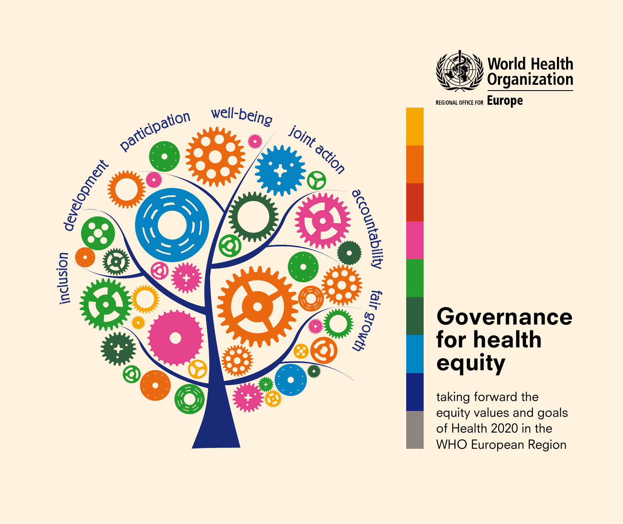

inclusion development participatio<sup>n</sup> wellbeing joint action accountability <u>ධ</u>් <sup>i</sup>r <u>I</u> **MON**  $\mathcal{Z}$ 

# **Governance** for health equity

taking forward the equity values and goals of Health 2020 in the WHO European Region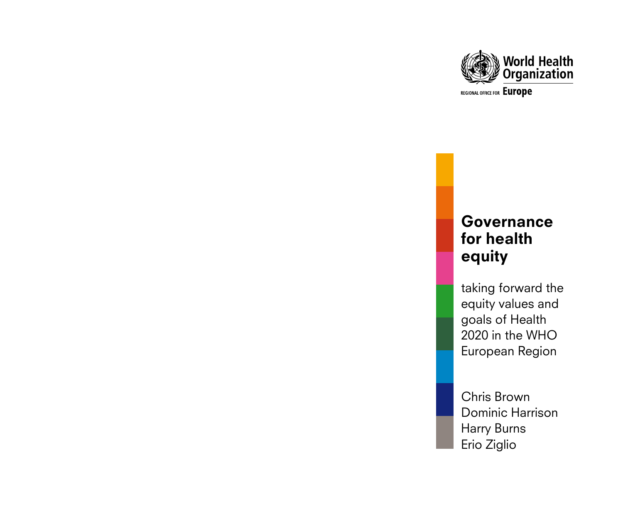

**REGIONAL OFFICE FOR Europe** 

## **Governance** for health equity

taking forward the equity values and goals of Health 2020 in the WHO European Region

Chris Brown Dominic Harrison Harry Burns Erio Ziglio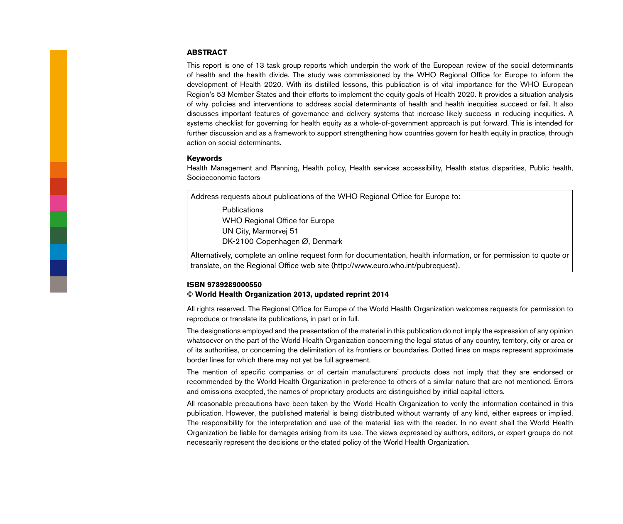#### **ABSTRACT**

This report is one of 13 task group reports which underpin the work of the European review of the social determinants of health and the health divide. The study was commissioned by the WHO Regional Office for Europe to inform the development of Health 2020. With its distilled lessons, this publication is of vital importance for the WHO European Region's 53 Member States and their efforts to implement the equity goals of Health 2020. It provides a situation analysis of why policies and interventions to address social determinants of health and health inequities succeed or fail. It also discusses important features of governance and delivery systems that increase likely success in reducing inequities. A systems checklist for governing for health equity as a whole-of-government approach is put forward. This is intended for further discussion and as a framework to support strengthening how countries govern for health equity in practice, through action on social determinants.

#### **Keywords**

Health Management and Planning, Health policy, Health services accessibility, Health status disparities, Public health, Socioeconomic factors

Address requests about publications of the WHO Regional Office for Europe to:

Publications WHO Regional Office for Europe UN City, Marmorvej 51 DK-2100 Copenhagen Ø, Denmark

Alternatively, complete an online request form for documentation, health information, or for permission to quote or translate, on the Regional Office web site (<http://www.euro.who.int/>pubrequest).

#### **ISBN 9789289000550**

#### **© World Health Organization 2013, updated reprint 2014**

All rights reserved. The Regional Office for Europe of the World Health Organization welcomes requests for permission to reproduce or translate its publications, in part or in full.

The designations employed and the presentation of the material in this publication do not imply the expression of any opinion whatsoever on the part of the World Health Organization concerning the legal status of any country, territory, city or area or of its authorities, or concerning the delimitation of its frontiers or boundaries. Dotted lines on maps represent approximate border lines for which there may not yet be full agreement.

The mention of specific companies or of certain manufacturers' products does not imply that they are endorsed or recommended by the World Health Organization in preference to others of a similar nature that are not mentioned. Errors and omissions excepted, the names of proprietary products are distinguished by initial capital letters.

All reasonable precautions have been taken by the World Health Organization to verify the information contained in this publication. However, the published material is being distributed without warranty of any kind, either express or implied. The responsibility for the interpretation and use of the material lies with the reader. In no event shall the World Health Organization be liable for damages arising from its use. The views expressed by authors, editors, or expert groups do not necessarily represent the decisions or the stated policy of the World Health Organization.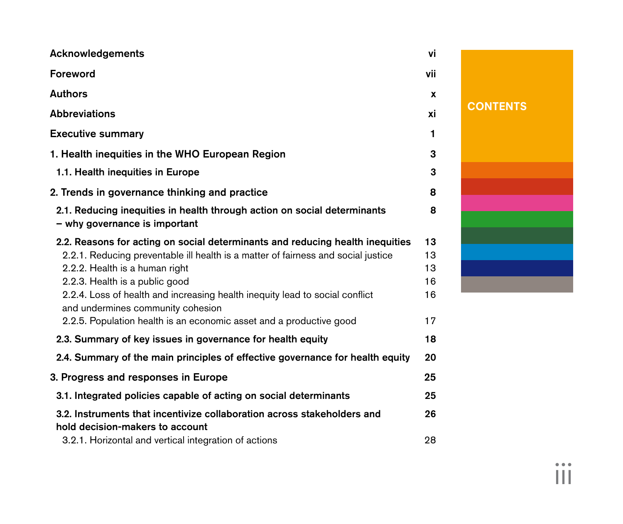| <b>Acknowledgements</b>                                                                                                                                                                                                                                                                                                                                                                                                            | vi                               |
|------------------------------------------------------------------------------------------------------------------------------------------------------------------------------------------------------------------------------------------------------------------------------------------------------------------------------------------------------------------------------------------------------------------------------------|----------------------------------|
| Foreword                                                                                                                                                                                                                                                                                                                                                                                                                           | vii                              |
| <b>Authors</b>                                                                                                                                                                                                                                                                                                                                                                                                                     | <b>X</b>                         |
| <b>Abbreviations</b>                                                                                                                                                                                                                                                                                                                                                                                                               | хi                               |
| <b>Executive summary</b>                                                                                                                                                                                                                                                                                                                                                                                                           | 1                                |
| 1. Health inequities in the WHO European Region                                                                                                                                                                                                                                                                                                                                                                                    | 3                                |
| 1.1. Health inequities in Europe                                                                                                                                                                                                                                                                                                                                                                                                   | 3                                |
| 2. Trends in governance thinking and practice                                                                                                                                                                                                                                                                                                                                                                                      | 8                                |
| 2.1. Reducing inequities in health through action on social determinants<br>- why governance is important                                                                                                                                                                                                                                                                                                                          | 8                                |
| 2.2. Reasons for acting on social determinants and reducing health inequities<br>2.2.1. Reducing preventable ill health is a matter of fairness and social justice<br>2.2.2. Health is a human right<br>2.2.3. Health is a public good<br>2.2.4. Loss of health and increasing health inequity lead to social conflict<br>and undermines community cohesion<br>2.2.5. Population health is an economic asset and a productive good | 13<br>13<br>13<br>16<br>16<br>17 |
| 2.3. Summary of key issues in governance for health equity                                                                                                                                                                                                                                                                                                                                                                         | 18                               |
| 2.4. Summary of the main principles of effective governance for health equity                                                                                                                                                                                                                                                                                                                                                      | 20                               |
| 3. Progress and responses in Europe                                                                                                                                                                                                                                                                                                                                                                                                | 25                               |
| 3.1. Integrated policies capable of acting on social determinants                                                                                                                                                                                                                                                                                                                                                                  | 25                               |
| 3.2. Instruments that incentivize collaboration across stakeholders and<br>hold decision-makers to account                                                                                                                                                                                                                                                                                                                         | 26                               |
| 3.2.1. Horizontal and vertical integration of actions                                                                                                                                                                                                                                                                                                                                                                              | 28                               |



iii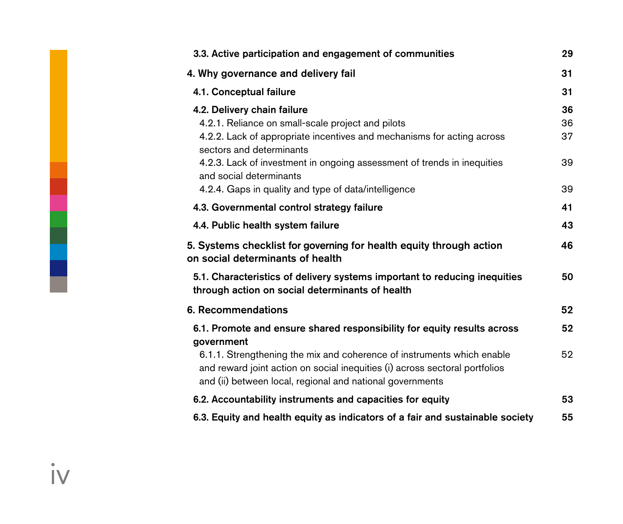| 3.3. Active participation and engagement of communities                                                                                                                                                                                                                                                                                              |                            |  |
|------------------------------------------------------------------------------------------------------------------------------------------------------------------------------------------------------------------------------------------------------------------------------------------------------------------------------------------------------|----------------------------|--|
| 4. Why governance and delivery fail                                                                                                                                                                                                                                                                                                                  | 31                         |  |
| 4.1. Conceptual failure                                                                                                                                                                                                                                                                                                                              | 31                         |  |
| 4.2. Delivery chain failure<br>4.2.1. Reliance on small-scale project and pilots<br>4.2.2. Lack of appropriate incentives and mechanisms for acting across<br>sectors and determinants<br>4.2.3. Lack of investment in ongoing assessment of trends in inequities<br>and social determinants<br>4.2.4. Gaps in quality and type of data/intelligence | 36<br>36<br>37<br>39<br>39 |  |
| 4.3. Governmental control strategy failure                                                                                                                                                                                                                                                                                                           | 41                         |  |
| 4.4. Public health system failure                                                                                                                                                                                                                                                                                                                    | 43                         |  |
| 5. Systems checklist for governing for health equity through action<br>on social determinants of health                                                                                                                                                                                                                                              | 46                         |  |
| 5.1. Characteristics of delivery systems important to reducing inequities<br>through action on social determinants of health                                                                                                                                                                                                                         | 50                         |  |
| 6. Recommendations                                                                                                                                                                                                                                                                                                                                   | 52                         |  |
| 6.1. Promote and ensure shared responsibility for equity results across<br>government                                                                                                                                                                                                                                                                | 52                         |  |
| 6.1.1. Strengthening the mix and coherence of instruments which enable<br>and reward joint action on social inequities (i) across sectoral portfolios<br>and (ii) between local, regional and national governments                                                                                                                                   | 52                         |  |
| 6.2. Accountability instruments and capacities for equity                                                                                                                                                                                                                                                                                            | 53                         |  |
| 6.3. Equity and health equity as indicators of a fair and sustainable society                                                                                                                                                                                                                                                                        | 55                         |  |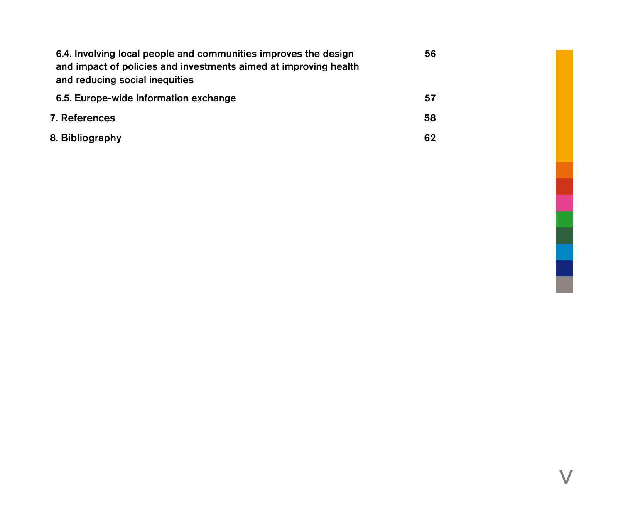| 6.4. Involving local people and communities improves the design<br>and impact of policies and investments aimed at improving health<br>and reducing social inequities |    |
|-----------------------------------------------------------------------------------------------------------------------------------------------------------------------|----|
| 6.5. Europe-wide information exchange                                                                                                                                 | 57 |
| 7. References                                                                                                                                                         | 58 |
| 8. Bibliography                                                                                                                                                       | 62 |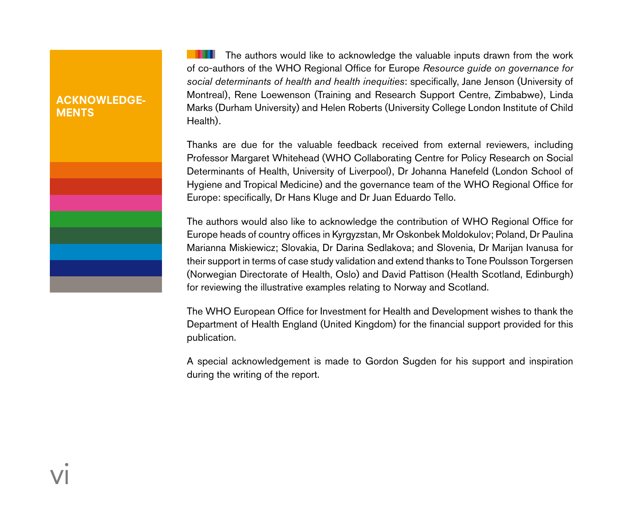The authors would like to acknowledge the valuable inputs drawn from the work of co-authors of the WHO Regional Office for Europe *Resource guide on governance for social determinants of health and health inequities*: specifically, Jane Jenson (University of Montreal), Rene Loewenson (Training and Research Support Centre, Zimbabwe), Linda Marks (Durham University) and Helen Roberts (University College London Institute of Child Health).

Thanks are due for the valuable feedback received from external reviewers, including Professor Margaret Whitehead (WHO Collaborating Centre for Policy Research on Social Determinants of Health, University of Liverpool), Dr Johanna Hanefeld (London School of Hygiene and Tropical Medicine) and the governance team of the WHO Regional Office for Europe: specifically, Dr Hans Kluge and Dr Juan Eduardo Tello.

The authors would also like to acknowledge the contribution of WHO Regional Office for Europe heads of country offices in Kyrgyzstan, Mr Oskonbek Moldokulov; Poland, Dr Paulina Marianna Miskiewicz; Slovakia, Dr Darina Sedlakova; and Slovenia, Dr Marijan Ivanusa for their support in terms of case study validation and extend thanks to Tone Poulsson Torgersen (Norwegian Directorate of Health, Oslo) and David Pattison (Health Scotland, Edinburgh) for reviewing the illustrative examples relating to Norway and Scotland.

The WHO European Office for Investment for Health and Development wishes to thank the Department of Health England (United Kingdom) for the financial support provided for this publication.

A special acknowledgement is made to Gordon Sugden for his support and inspiration during the writing of the report.

### <span id="page-7-0"></span>Acknowledge-**MENTS**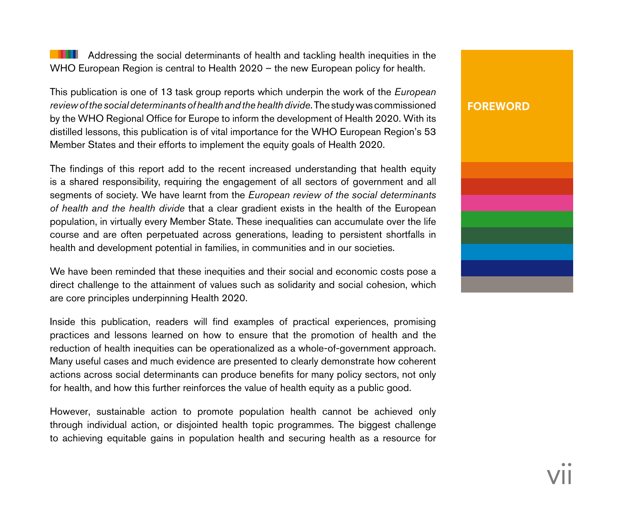<span id="page-8-0"></span>**Addressing the social determinants of health and tackling health inequities in the** WHO European Region is central to Health 2020 – the new European policy for health.

This publication is one of 13 task group reports which underpin the work of the *European review of the social determinants of health and the health divide*. The study was commissioned by the WHO Regional Office for Europe to inform the development of Health 2020. With its distilled lessons, this publication is of vital importance for the WHO European Region's 53 Member States and their efforts to implement the equity goals of Health 2020.

The findings of this report add to the recent increased understanding that health equity is a shared responsibility, requiring the engagement of all sectors of government and all segments of society. We have learnt from the *European review of the social determinants of health and the health divide* that a clear gradient exists in the health of the European population, in virtually every Member State. These inequalities can accumulate over the life course and are often perpetuated across generations, leading to persistent shortfalls in health and development potential in families, in communities and in our societies.

We have been reminded that these inequities and their social and economic costs pose a direct challenge to the attainment of values such as solidarity and social cohesion, which are core principles underpinning Health 2020.

Inside this publication, readers will find examples of practical experiences, promising practices and lessons learned on how to ensure that the promotion of health and the reduction of health inequities can be operationalized as a whole-of-government approach. Many useful cases and much evidence are presented to clearly demonstrate how coherent actions across social determinants can produce benefits for many policy sectors, not only for health, and how this further reinforces the value of health equity as a public good.

However, sustainable action to promote population health cannot be achieved only through individual action, or disjointed health topic programmes. The biggest challenge to achieving equitable gains in population health and securing health as a resource for

#### **FOREWORD**

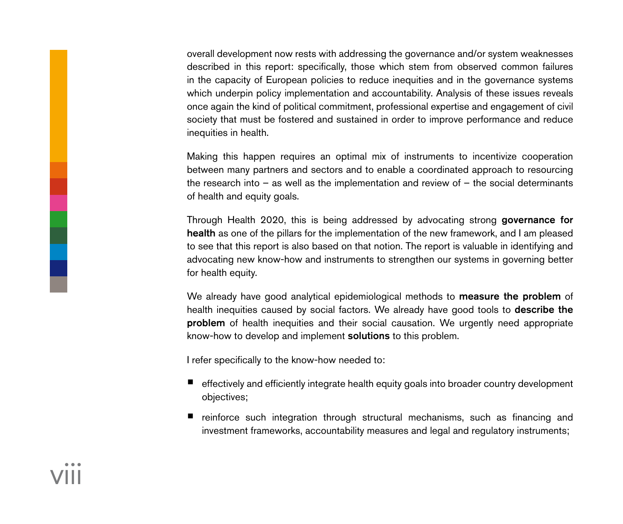overall development now rests with addressing the governance and/or system weaknesses described in this report: specifically, those which stem from observed common failures in the capacity of European policies to reduce inequities and in the governance systems which underpin policy implementation and accountability. Analysis of these issues reveals once again the kind of political commitment, professional expertise and engagement of civil society that must be fostered and sustained in order to improve performance and reduce inequities in health.

Making this happen requires an optimal mix of instruments to incentivize cooperation between many partners and sectors and to enable a coordinated approach to resourcing the research into  $-$  as well as the implementation and review of  $-$  the social determinants of health and equity goals.

Through Health 2020, this is being addressed by advocating strong governance for health as one of the pillars for the implementation of the new framework, and I am pleased to see that this report is also based on that notion. The report is valuable in identifying and advocating new know-how and instruments to strengthen our systems in governing better for health equity.

We already have good analytical epidemiological methods to **measure the problem** of health inequities caused by social factors. We already have good tools to describe the problem of health inequities and their social causation. We urgently need appropriate know-how to develop and implement solutions to this problem.

I refer specifically to the know-how needed to:

- $\blacksquare$  effectively and efficiently integrate health equity goals into broader country development objectives;
- reinforce such integration through structural mechanisms, such as financing and investment frameworks, accountability measures and legal and regulatory instruments;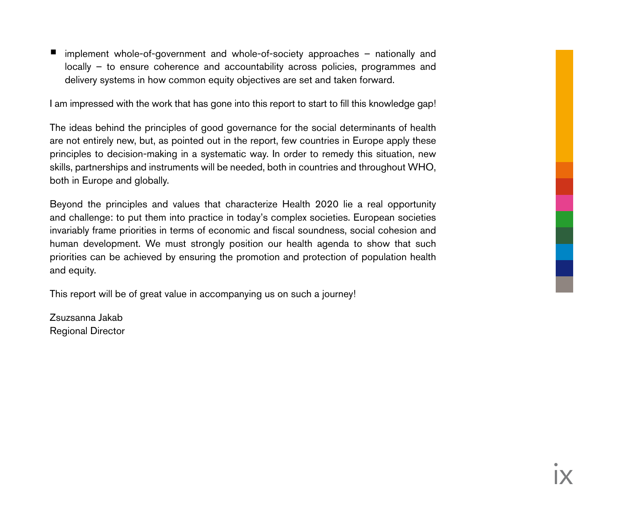$i$ mplement whole-of-government and whole-of-society approaches – nationally and locally – to ensure coherence and accountability across policies, programmes and delivery systems in how common equity objectives are set and taken forward.

I am impressed with the work that has gone into this report to start to fill this knowledge gap!

The ideas behind the principles of good governance for the social determinants of health are not entirely new, but, as pointed out in the report, few countries in Europe apply these principles to decision-making in a systematic way. In order to remedy this situation, new skills, partnerships and instruments will be needed, both in countries and throughout WHO, both in Europe and globally.

Beyond the principles and values that characterize Health 2020 lie a real opportunity and challenge: to put them into practice in today's complex societies. European societies invariably frame priorities in terms of economic and fiscal soundness, social cohesion and human development. We must strongly position our health agenda to show that such priorities can be achieved by ensuring the promotion and protection of population health and equity.

This report will be of great value in accompanying us on such a journey!

Zsuzsanna Jakab Regional Director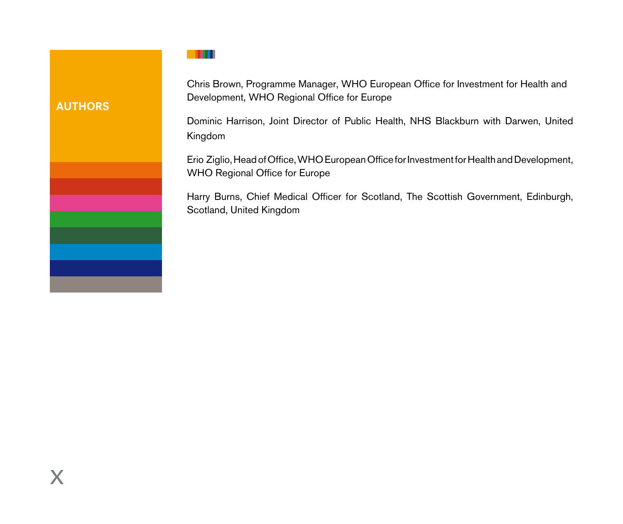<span id="page-11-0"></span>

| <b>AUTHORS</b> | Chris Brown, Programme Manager, WHO European Office for Investment for Health and<br>Development, WHO Regional Office for Europe     |
|----------------|--------------------------------------------------------------------------------------------------------------------------------------|
|                | Dominic Harrison, Joint Director of Public Health, NHS Blackburn with Darwen, United<br>Kingdom                                      |
|                | Erio Ziglio, Head of Office, WHO European Office for Investment for Health and Development,<br><b>WHO Regional Office for Europe</b> |
|                | Harry Burns, Chief Medical Officer for Scotland, The Scottish Government, Edinburgh,<br>Scotland, United Kingdom                     |
|                |                                                                                                                                      |
|                |                                                                                                                                      |
|                |                                                                                                                                      |

- 11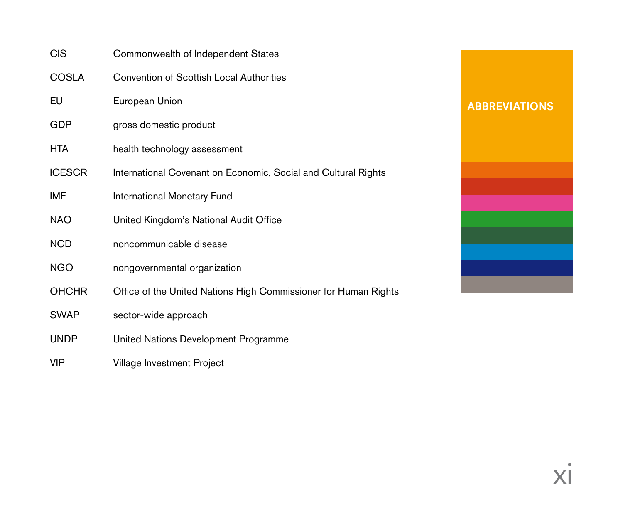<span id="page-12-0"></span>

| <b>CIS</b> | Commonwealth of Independent States |
|------------|------------------------------------|
|------------|------------------------------------|

- COSLA Convention of Scottish Local Authorities
- EU European Union
- GDP gross domestic product
- HTA health technology assessment
- ICESCR International Covenant on Economic, Social and Cultural Rights
- IMF International Monetary Fund
- NAO United Kingdom's National Audit Office
- NCD noncommunicable disease
- NGO nongovernmental organization
- OHCHR Office of the United Nations High Commissioner for Human Rights
- SWAP sector-wide approach
- UNDP United Nations Development Programme
- VIP Village Investment Project

#### **ABBREVIATIONS**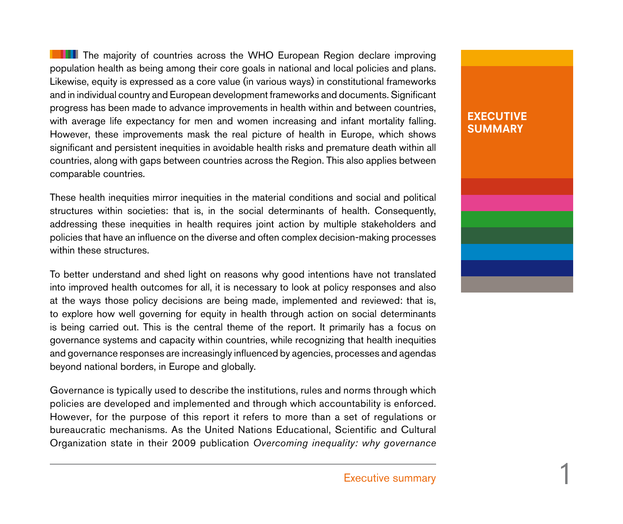<span id="page-14-0"></span>**THE The majority of countries across the WHO European Region declare improving** population health as being among their core goals in national and local policies and plans. Likewise, equity is expressed as a core value (in various ways) in constitutional frameworks and in individual country and European development frameworks and documents. Significant progress has been made to advance improvements in health within and between countries, with average life expectancy for men and women increasing and infant mortality falling. However, these improvements mask the real picture of health in Europe, which shows significant and persistent inequities in avoidable health risks and premature death within all countries, along with gaps between countries across the Region. This also applies between comparable countries.

These health inequities mirror inequities in the material conditions and social and political structures within societies: that is, in the social determinants of health. Consequently, addressing these inequities in health requires joint action by multiple stakeholders and policies that have an influence on the diverse and often complex decision-making processes within these structures.

To better understand and shed light on reasons why good intentions have not translated into improved health outcomes for all, it is necessary to look at policy responses and also at the ways those policy decisions are being made, implemented and reviewed: that is, to explore how well governing for equity in health through action on social determinants is being carried out. This is the central theme of the report. It primarily has a focus on governance systems and capacity within countries, while recognizing that health inequities and governance responses are increasingly influenced by agencies, processes and agendas beyond national borders, in Europe and globally.

Governance is typically used to describe the institutions, rules and norms through which policies are developed and implemented and through which accountability is enforced. However, for the purpose of this report it refers to more than a set of regulations or bureaucratic mechanisms. As the United Nations Educational, Scientific and Cultural Organization state in their 2009 publication *Overcoming inequality: why governance* 

#### **EXECUTIVE SUMMARY**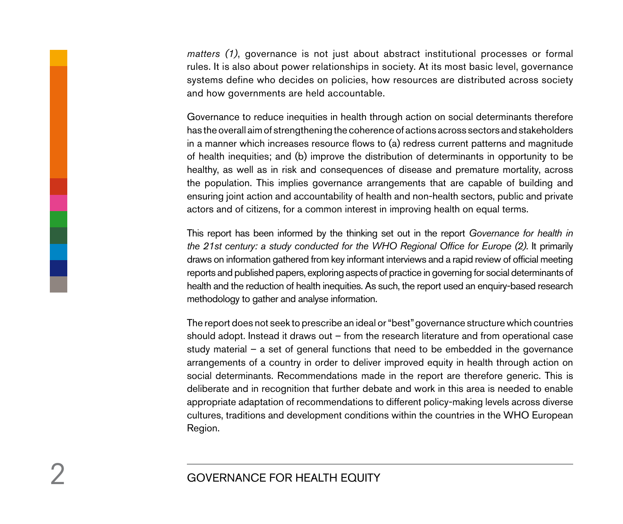*matters (1)*, governance is not just about abstract institutional processes or formal rules. It is also about power relationships in society. At its most basic level, governance systems define who decides on policies, how resources are distributed across society and how governments are held accountable.

Governance to reduce inequities in health through action on social determinants therefore has the overall aim of strengthening the coherence of actions across sectors and stakeholders in a manner which increases resource flows to (a) redress current patterns and magnitude of health inequities; and (b) improve the distribution of determinants in opportunity to be healthy, as well as in risk and consequences of disease and premature mortality, across the population. This implies governance arrangements that are capable of building and ensuring joint action and accountability of health and non-health sectors, public and private actors and of citizens, for a common interest in improving health on equal terms.

This report has been informed by the thinking set out in the report *Governance for health in the 21st century: a study conducted for the WHO Regional Office for Europe (2)*. It primarily draws on information gathered from key informant interviews and a rapid review of official meeting reports and published papers, exploring aspects of practice in governing for social determinants of health and the reduction of health inequities. As such, the report used an enquiry-based research methodology to gather and analyse information.

The report does not seek to prescribe an ideal or "best" governance structure which countries should adopt. Instead it draws out – from the research literature and from operational case study material – a set of general functions that need to be embedded in the governance arrangements of a country in order to deliver improved equity in health through action on social determinants. Recommendations made in the report are therefore generic. This is deliberate and in recognition that further debate and work in this area is needed to enable appropriate adaptation of recommendations to different policy-making levels across diverse cultures, traditions and development conditions within the countries in the WHO European Region.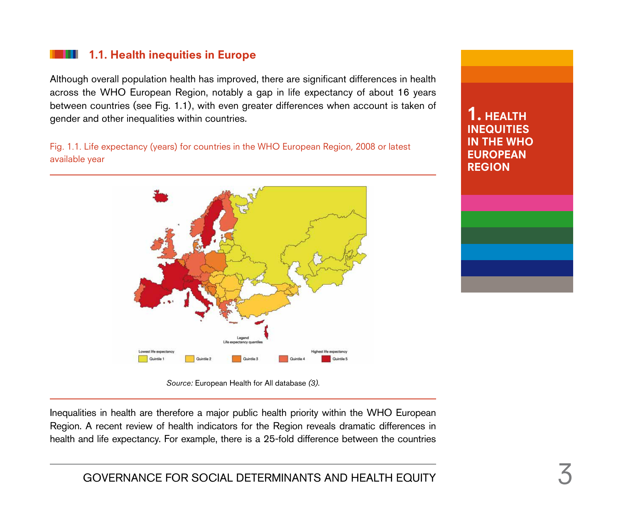#### <span id="page-16-0"></span>1.1. Health inequities in Europe ...

Although overall population health has improved, there are significant differences in health across the WHO European Region, notably a gap in life expectancy of about 16 years between countries (see Fig. 1.1), with even greater differences when account is taken of gender and other inequalities within countries.

Fig. 1.1. Life expectancy (years) for countries in the WHO European Region, 2008 or latest available year



*Source:* European Health for All database *(3)*.

Inequalities in health are therefore a major public health priority within the WHO European Region. A recent review of health indicators for the Region reveals dramatic differences in health and life expectancy. For example, there is a 25-fold difference between the countries

**HEALTH** inequities in the WHO **EUROPEAN** Region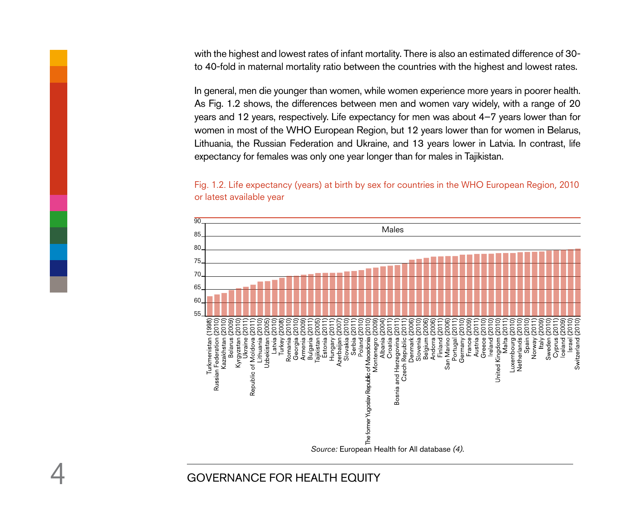with the highest and lowest rates of infant mortality. There is also an estimated difference of 30 to 40-fold in maternal mortality ratio between the countries with the highest and lowest rates.

In general, men die younger than women, while women experience more years in poorer health. As Fig. 1.2 shows, the differences between men and women vary widely, with a range of 20 years and 12 years, respectively. Life expectancy for men was about 4–7 years lower than for women in most of the WHO European Region, but 12 years lower than for women in Belarus, Lithuania, the Russian Federation and Ukraine, and 13 years lower in Latvia. In contrast, life expectancy for females was only one year longer than for males in Tajikistan.

Fig. 1.2. Life expectancy (years) at birth by sex for countries in the WHO European Region, 2010 or latest available year

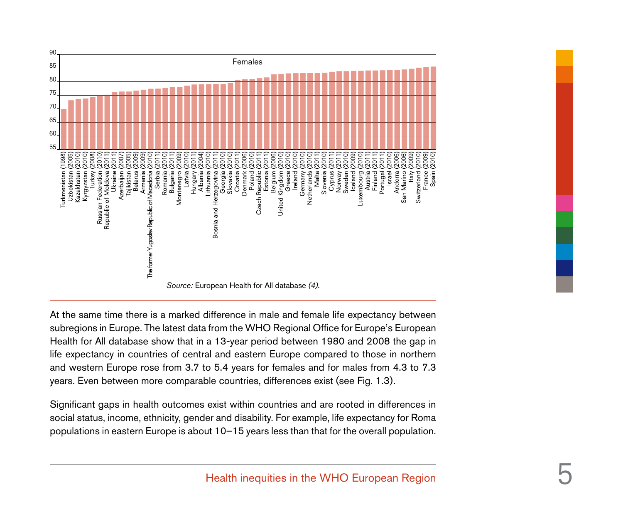

At the same time there is a marked difference in male and female life expectancy between subregions in Europe. The latest data from the WHO Regional Office for Europe's European Health for All database show that in a 13-year period between 1980 and 2008 the gap in life expectancy in countries of central and eastern Europe compared to those in northern and western Europe rose from 3.7 to 5.4 years for females and for males from 4.3 to 7.3 years. Even between more comparable countries, differences exist (see Fig. 1.3).

Significant gaps in health outcomes exist within countries and are rooted in differences in social status, income, ethnicity, gender and disability. For example, life expectancy for Roma populations in eastern Europe is about 10–15 years less than that for the overall population.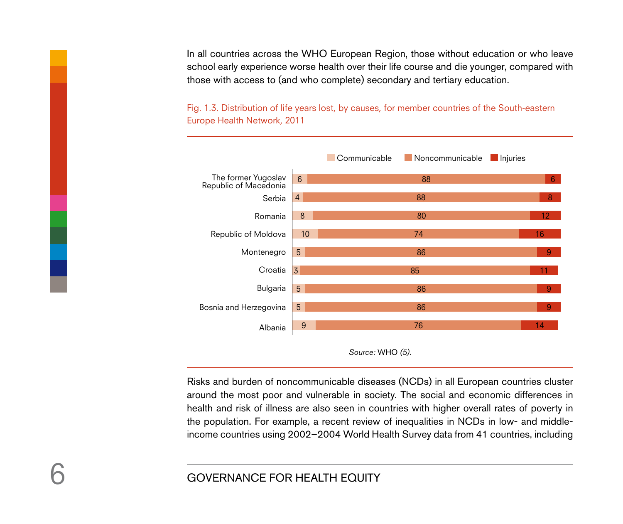In all countries across the WHO European Region, those without education or who leave school early experience worse health over their life course and die younger, compared with those with access to (and who complete) secondary and tertiary education.

Fig. 1.3. Distribution of life years lost, by causes, for member countries of the South-eastern Europe Health Network, 2011



*Source:* WHO *(5)*.

Risks and burden of noncommunicable diseases (NCDs) in all European countries cluster around the most poor and vulnerable in society. The social and economic differences in health and risk of illness are also seen in countries with higher overall rates of poverty in the population. For example, a recent review of inequalities in NCDs in low- and middleincome countries using 2002–2004 World Health Survey data from 41 countries, including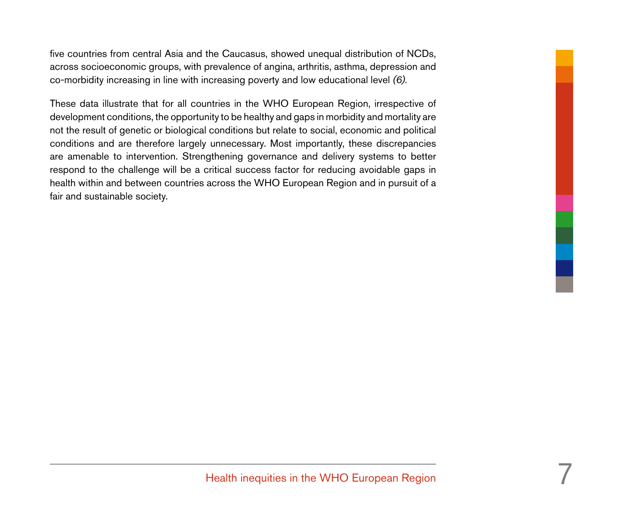five countries from central Asia and the Caucasus, showed unequal distribution of NCDs, across socioeconomic groups, with prevalence of angina, arthritis, asthma, depression and co-morbidity increasing in line with increasing poverty and low educational level *(6)*.

These data illustrate that for all countries in the WHO European Region, irrespective of development conditions, the opportunity to be healthy and gaps in morbidity and mortality are not the result of genetic or biological conditions but relate to social, economic and political conditions and are therefore largely unnecessary. Most importantly, these discrepancies are amenable to intervention. Strengthening governance and delivery systems to better respond to the challenge will be a critical success factor for reducing avoidable gaps in health within and between countries across the WHO European Region and in pursuit of a fair and sustainable society.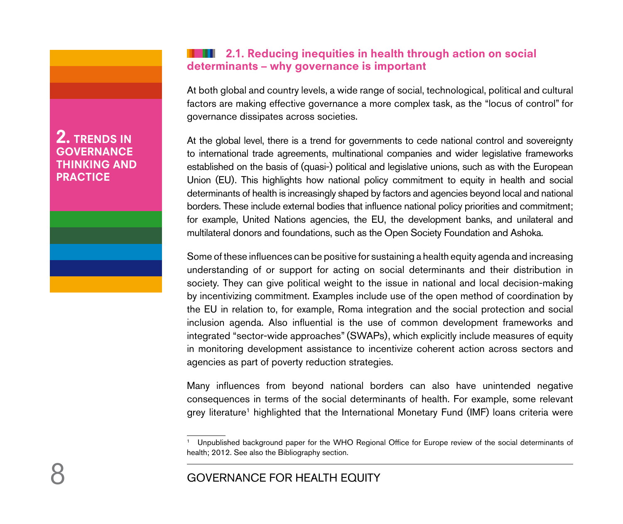#### 2.1. Reducing inequities in health through action on social determinants – why governance is important

At both global and country levels, a wide range of social, technological, political and cultural factors are making effective governance a more complex task, as the "locus of control" for governance dissipates across societies.

At the global level, there is a trend for governments to cede national control and sovereignty to international trade agreements, multinational companies and wider legislative frameworks established on the basis of (quasi-) political and legislative unions, such as with the European Union (EU). This highlights how national policy commitment to equity in health and social determinants of health is increasingly shaped by factors and agencies beyond local and national borders. These include external bodies that influence national policy priorities and commitment; for example, United Nations agencies, the EU, the development banks, and unilateral and multilateral donors and foundations, such as the Open Society Foundation and Ashoka.

Some of these influences can be positive for sustaining a health equity agenda and increasing understanding of or support for acting on social determinants and their distribution in society. They can give political weight to the issue in national and local decision-making by incentivizing commitment. Examples include use of the open method of coordination by the EU in relation to, for example, Roma integration and the social protection and social inclusion agenda. Also influential is the use of common development frameworks and integrated "sector-wide approaches" (SWAPs), which explicitly include measures of equity in monitoring development assistance to incentivize coherent action across sectors and agencies as part of poverty reduction strategies.

Many influences from beyond national borders can also have unintended negative consequences in terms of the social determinants of health. For example, some relevant grey literature1 highlighted that the International Monetary Fund (IMF) loans criteria were

### <span id="page-21-0"></span>**TRENDS IN** governance thinking and **PRACTICE**

<sup>1</sup> Unpublished background paper for the WHO Regional Office for Europe review of the social determinants of health; 2012. See also the Bibliography section.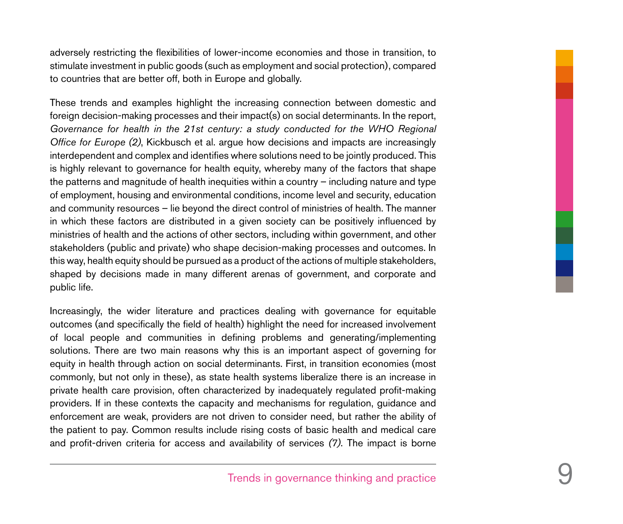adversely restricting the flexibilities of lower-income economies and those in transition, to stimulate investment in public goods (such as employment and social protection), compared to countries that are better off, both in Europe and globally.

These trends and examples highlight the increasing connection between domestic and foreign decision-making processes and their impact(s) on social determinants. In the report, *Governance for health in the 21st century: a study conducted for the WHO Regional Office for Europe (2)*, Kickbusch et al. argue how decisions and impacts are increasingly interdependent and complex and identifies where solutions need to be jointly produced. This is highly relevant to governance for health equity, whereby many of the factors that shape the patterns and magnitude of health inequities within a country – including nature and type of employment, housing and environmental conditions, income level and security, education and community resources – lie beyond the direct control of ministries of health. The manner in which these factors are distributed in a given society can be positively influenced by ministries of health and the actions of other sectors, including within government, and other stakeholders (public and private) who shape decision-making processes and outcomes. In this way, health equity should be pursued as a product of the actions of multiple stakeholders, shaped by decisions made in many different arenas of government, and corporate and public life.

Increasingly, the wider literature and practices dealing with governance for equitable outcomes (and specifically the field of health) highlight the need for increased involvement of local people and communities in defining problems and generating/implementing solutions. There are two main reasons why this is an important aspect of governing for equity in health through action on social determinants. First, in transition economies (most commonly, but not only in these), as state health systems liberalize there is an increase in private health care provision, often characterized by inadequately regulated profit-making providers. If in these contexts the capacity and mechanisms for regulation, guidance and enforcement are weak, providers are not driven to consider need, but rather the ability of the patient to pay. Common results include rising costs of basic health and medical care and profit-driven criteria for access and availability of services *(7)*. The impact is borne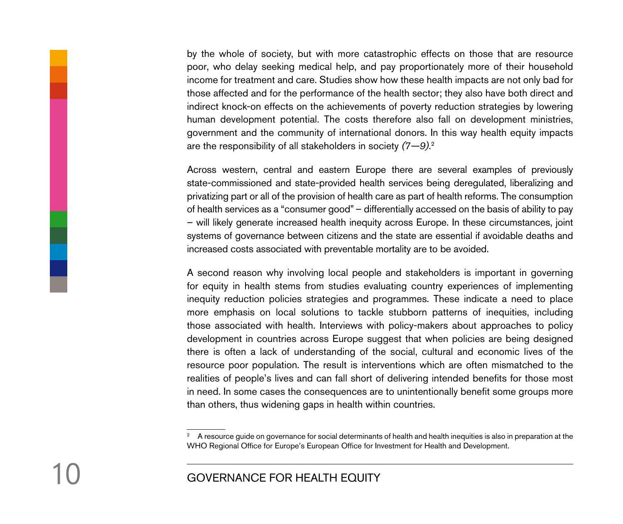by the whole of society, but with more catastrophic effects on those that are resource poor, who delay seeking medical help, and pay proportionately more of their household income for treatment and care. Studies show how these health impacts are not only bad for those affected and for the performance of the health sector; they also have both direct and indirect knock-on effects on the achievements of poverty reduction strategies by lowering human development potential. The costs therefore also fall on development ministries, government and the community of international donors. In this way health equity impacts are the responsibility of all stakeholders in society *(7—9)*. 2

Across western, central and eastern Europe there are several examples of previously state-commissioned and state-provided health services being deregulated, liberalizing and privatizing part or all of the provision of health care as part of health reforms. The consumption of health services as a "consumer good" – differentially accessed on the basis of ability to pay – will likely generate increased health inequity across Europe. In these circumstances, joint systems of governance between citizens and the state are essential if avoidable deaths and increased costs associated with preventable mortality are to be avoided.

A second reason why involving local people and stakeholders is important in governing for equity in health stems from studies evaluating country experiences of implementing inequity reduction policies strategies and programmes. These indicate a need to place more emphasis on local solutions to tackle stubborn patterns of inequities, including those associated with health. Interviews with policy-makers about approaches to policy development in countries across Europe suggest that when policies are being designed there is often a lack of understanding of the social, cultural and economic lives of the resource poor population. The result is interventions which are often mismatched to the realities of people's lives and can fall short of delivering intended benefits for those most in need. In some cases the consequences are to unintentionally benefit some groups more than others, thus widening gaps in health within countries.

<sup>&</sup>lt;sup>2</sup> A resource guide on governance for social determinants of health and health inequities is also in preparation at the WHO Regional Office for Europe's European Office for Investment for Health and Development.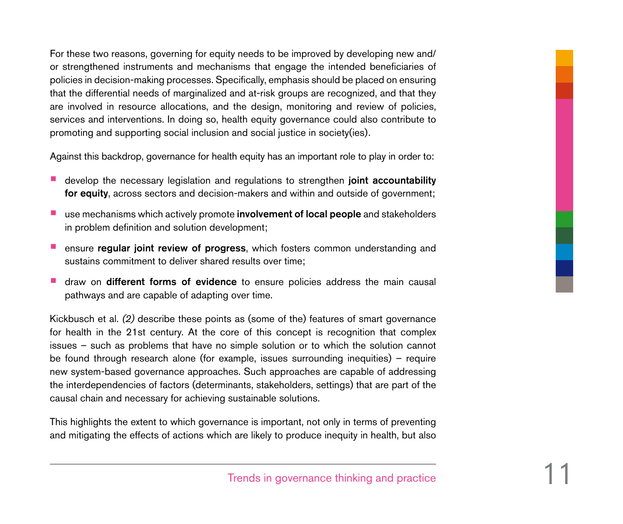For these two reasons, governing for equity needs to be improved by developing new and/ or strengthened instruments and mechanisms that engage the intended beneficiaries of policies in decision-making processes. Specifically, emphasis should be placed on ensuring that the differential needs of marginalized and at-risk groups are recognized, and that they are involved in resource allocations, and the design, monitoring and review of policies, services and interventions. In doing so, health equity governance could also contribute to promoting and supporting social inclusion and social justice in society(ies).

Against this backdrop, governance for health equity has an important role to play in order to:

- develop the necessary legislation and regulations to strengthen joint accountability for equity, across sectors and decision-makers and within and outside of government;
- use mechanisms which actively promote involvement of local people and stakeholders in problem definition and solution development;
- ensure regular joint review of progress, which fosters common understanding and sustains commitment to deliver shared results over time;
- draw on different forms of evidence to ensure policies address the main causal pathways and are capable of adapting over time.

Kickbusch et al. *(2)* describe these points as (some of the) features of smart governance for health in the 21st century. At the core of this concept is recognition that complex issues – such as problems that have no simple solution or to which the solution cannot be found through research alone (for example, issues surrounding inequities) – require new system-based governance approaches. Such approaches are capable of addressing the interdependencies of factors (determinants, stakeholders, settings) that are part of the causal chain and necessary for achieving sustainable solutions.

This highlights the extent to which governance is important, not only in terms of preventing and mitigating the effects of actions which are likely to produce inequity in health, but also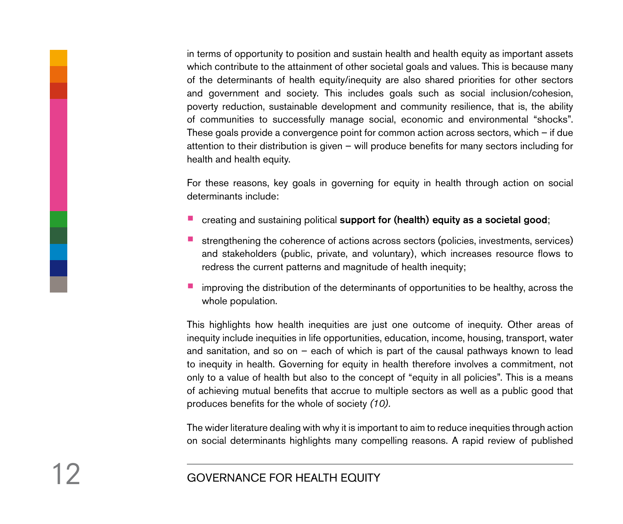in terms of opportunity to position and sustain health and health equity as important assets which contribute to the attainment of other societal goals and values. This is because many of the determinants of health equity/inequity are also shared priorities for other sectors and government and society. This includes goals such as social inclusion/cohesion, poverty reduction, sustainable development and community resilience, that is, the ability of communities to successfully manage social, economic and environmental "shocks". These goals provide a convergence point for common action across sectors, which – if due attention to their distribution is given – will produce benefits for many sectors including for health and health equity.

For these reasons, key goals in governing for equity in health through action on social determinants include:

- creating and sustaining political support for (health) equity as a societal good;
- strengthening the coherence of actions across sectors (policies, investments, services) and stakeholders (public, private, and voluntary), which increases resource flows to redress the current patterns and magnitude of health inequity;
- improving the distribution of the determinants of opportunities to be healthy, across the whole population.

This highlights how health inequities are just one outcome of inequity. Other areas of inequity include inequities in life opportunities, education, income, housing, transport, water and sanitation, and so on  $-$  each of which is part of the causal pathways known to lead to inequity in health. Governing for equity in health therefore involves a commitment, not only to a value of health but also to the concept of "equity in all policies". This is a means of achieving mutual benefits that accrue to multiple sectors as well as a public good that produces benefits for the whole of society *(10).*

The wider literature dealing with why it is important to aim to reduce inequities through action on social determinants highlights many compelling reasons. A rapid review of published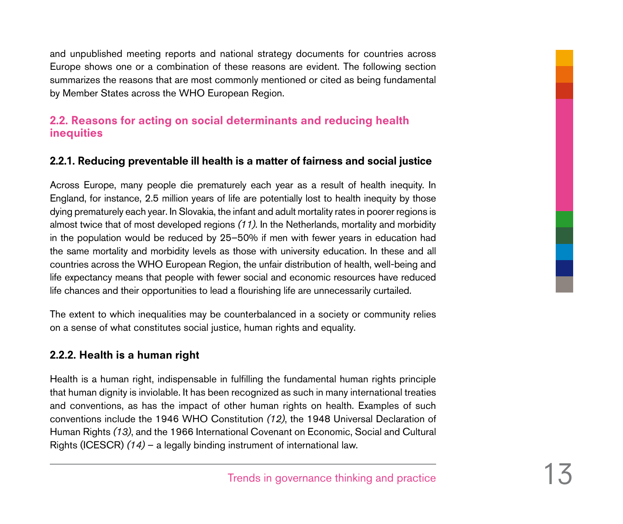<span id="page-26-0"></span>and unpublished meeting reports and national strategy documents for countries across Europe shows one or a combination of these reasons are evident. The following section summarizes the reasons that are most commonly mentioned or cited as being fundamental by Member States across the WHO European Region.

#### 2.2. Reasons for acting on social determinants and reducing health inequities

#### 2.2.1. Reducing preventable ill health is a matter of fairness and social justice

Across Europe, many people die prematurely each year as a result of health inequity. In England, for instance, 2.5 million years of life are potentially lost to health inequity by those dying prematurely each year. In Slovakia, the infant and adult mortality rates in poorer regions is almost twice that of most developed regions *(11)*. In the Netherlands, mortality and morbidity in the population would be reduced by 25–50% if men with fewer years in education had the same mortality and morbidity levels as those with university education. In these and all countries across the WHO European Region, the unfair distribution of health, well-being and life expectancy means that people with fewer social and economic resources have reduced life chances and their opportunities to lead a flourishing life are unnecessarily curtailed.

The extent to which inequalities may be counterbalanced in a society or community relies on a sense of what constitutes social justice, human rights and equality.

### 2.2.2. Health is a human right

Health is a human right, indispensable in fulfilling the fundamental human rights principle that human dignity is inviolable. It has been recognized as such in many international treaties and conventions, as has the impact of other human rights on health. Examples of such conventions include the 1946 WHO Constitution *(12)*, the 1948 Universal Declaration of Human Rights *(13)*, and the 1966 International Covenant on Economic, Social and Cultural Rights (ICESCR) *(14)* – a legally binding instrument of international law.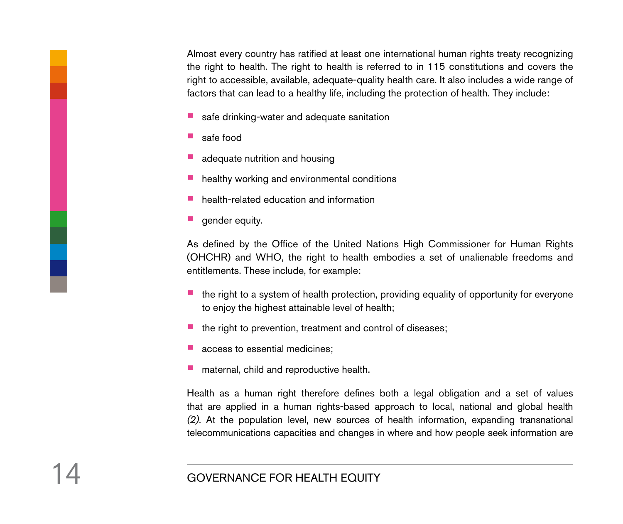Almost every country has ratified at least one international human rights treaty recognizing the right to health. The right to health is referred to in 115 constitutions and covers the right to accessible, available, adequate-quality health care. It also includes a wide range of factors that can lead to a healthy life, including the protection of health. They include:

- safe drinking-water and adequate sanitation
- safe food
- adequate nutrition and housing
- healthy working and environmental conditions
- health-related education and information
- aender equity.

As defined by the Office of the United Nations High Commissioner for Human Rights (OHCHR) and WHO, the right to health embodies a set of unalienable freedoms and entitlements. These include, for example:

- the right to a system of health protection, providing equality of opportunity for everyone to enjoy the highest attainable level of health;
- the right to prevention, treatment and control of diseases;
- access to essential medicines;
- $\blacksquare$  maternal, child and reproductive health.

Health as a human right therefore defines both a legal obligation and a set of values that are applied in a human rights-based approach to local, national and global health *(2)*. At the population level, new sources of health information, expanding transnational telecommunications capacities and changes in where and how people seek information are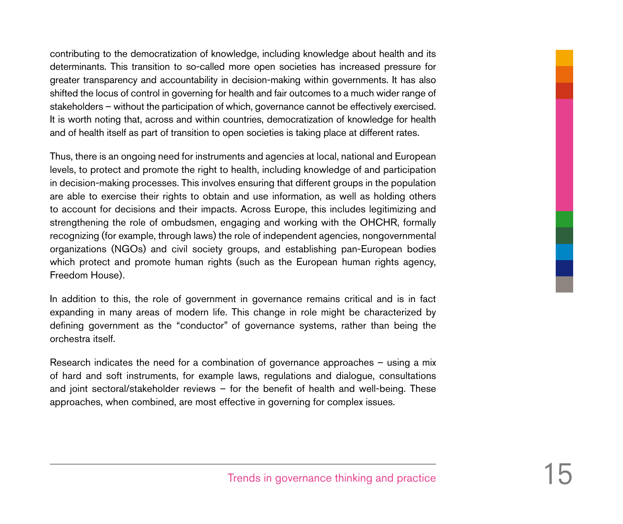contributing to the democratization of knowledge, including knowledge about health and its determinants. This transition to so-called more open societies has increased pressure for greater transparency and accountability in decision-making within governments. It has also shifted the locus of control in governing for health and fair outcomes to a much wider range of stakeholders – without the participation of which, governance cannot be effectively exercised. It is worth noting that, across and within countries, democratization of knowledge for health and of health itself as part of transition to open societies is taking place at different rates.

Thus, there is an ongoing need for instruments and agencies at local, national and European levels, to protect and promote the right to health, including knowledge of and participation in decision-making processes. This involves ensuring that different groups in the population are able to exercise their rights to obtain and use information, as well as holding others to account for decisions and their impacts. Across Europe, this includes legitimizing and strengthening the role of ombudsmen, engaging and working with the OHCHR, formally recognizing (for example, through laws) the role of independent agencies, nongovernmental organizations (NGOs) and civil society groups, and establishing pan-European bodies which protect and promote human rights (such as the European human rights agency, Freedom House).

In addition to this, the role of government in governance remains critical and is in fact expanding in many areas of modern life. This change in role might be characterized by defining government as the "conductor" of governance systems, rather than being the orchestra itself.

Research indicates the need for a combination of governance approaches – using a mix of hard and soft instruments, for example laws, regulations and dialogue, consultations and joint sectoral/stakeholder reviews – for the benefit of health and well-being. These approaches, when combined, are most effective in governing for complex issues.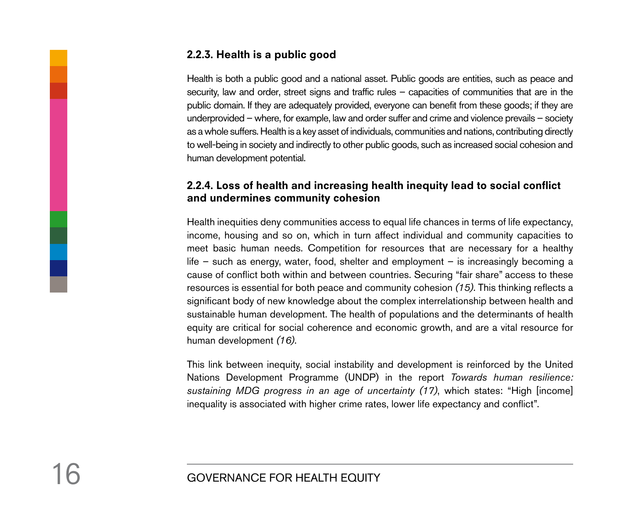#### <span id="page-29-0"></span>2.2.3. Health is a public good

Health is both a public good and a national asset. Public goods are entities, such as peace and security, law and order, street signs and traffic rules – capacities of communities that are in the public domain. If they are adequately provided, everyone can benefit from these goods; if they are underprovided – where, for example, law and order suffer and crime and violence prevails – society as a whole suffers. Health is a key asset of individuals, communities and nations, contributing directly to well-being in society and indirectly to other public goods, such as increased social cohesion and human development potential.

#### 2.2.4. Loss of health and increasing health inequity lead to social conflict and undermines community cohesion

Health inequities deny communities access to equal life chances in terms of life expectancy, income, housing and so on, which in turn affect individual and community capacities to meet basic human needs. Competition for resources that are necessary for a healthy life – such as energy, water, food, shelter and employment – is increasingly becoming a cause of conflict both within and between countries. Securing "fair share" access to these resources is essential for both peace and community cohesion *(15)*. This thinking reflects a significant body of new knowledge about the complex interrelationship between health and sustainable human development. The health of populations and the determinants of health equity are critical for social coherence and economic growth, and are a vital resource for human development *(16)*.

This link between inequity, social instability and development is reinforced by the United Nations Development Programme (UNDP) in the report *Towards human resilience: sustaining MDG progress in an age of uncertainty (17)*, which states: "High [income] inequality is associated with higher crime rates, lower life expectancy and conflict".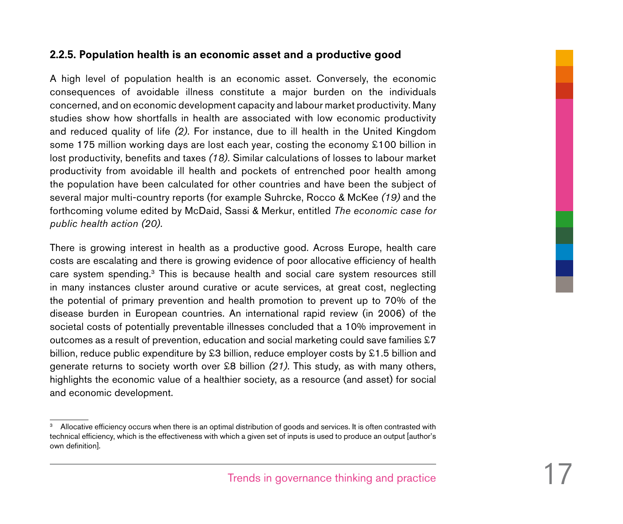#### <span id="page-30-0"></span>2.2.5. Population health is an economic asset and a productive good

A high level of population health is an economic asset. Conversely, the economic consequences of avoidable illness constitute a major burden on the individuals concerned, and on economic development capacity and labour market productivity. Many studies show how shortfalls in health are associated with low economic productivity and reduced quality of life *(2)*. For instance, due to ill health in the United Kingdom some 175 million working days are lost each year, costing the economy £100 billion in lost productivity, benefits and taxes *(18)*. Similar calculations of losses to labour market productivity from avoidable ill health and pockets of entrenched poor health among the population have been calculated for other countries and have been the subject of several major multi-country reports (for example Suhrcke, Rocco & McKee *(19)* and the forthcoming volume edited by McDaid, Sassi & Merkur, entitled *The economic case for public health action (20)*.

There is growing interest in health as a productive good. Across Europe, health care costs are escalating and there is growing evidence of poor allocative efficiency of health care system spending.3 This is because health and social care system resources still in many instances cluster around curative or acute services, at great cost, neglecting the potential of primary prevention and health promotion to prevent up to 70% of the disease burden in European countries. An international rapid review (in 2006) of the societal costs of potentially preventable illnesses concluded that a 10% improvement in outcomes as a result of prevention, education and social marketing could save families £7 billion, reduce public expenditure by £3 billion, reduce employer costs by £1.5 billion and generate returns to society worth over £8 billion *(21)*. This study, as with many others, highlights the economic value of a healthier society, as a resource (and asset) for social and economic development.

Allocative efficiency occurs when there is an optimal distribution of goods and services. It is often contrasted with technical efficiency, which is the effectiveness with which a given set of inputs is used to produce an output [author's own definition].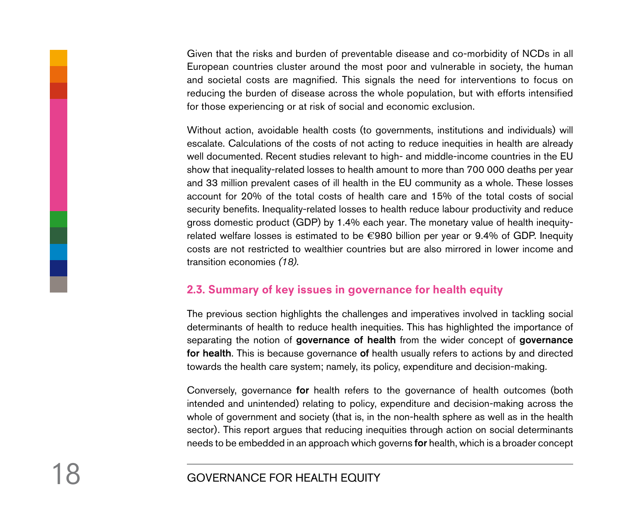<span id="page-31-0"></span>Given that the risks and burden of preventable disease and co-morbidity of NCDs in all European countries cluster around the most poor and vulnerable in society, the human and societal costs are magnified. This signals the need for interventions to focus on reducing the burden of disease across the whole population, but with efforts intensified for those experiencing or at risk of social and economic exclusion.

Without action, avoidable health costs (to governments, institutions and individuals) will escalate. Calculations of the costs of not acting to reduce inequities in health are already well documented. Recent studies relevant to high- and middle-income countries in the EU show that inequality-related losses to health amount to more than 700 000 deaths per year and 33 million prevalent cases of ill health in the EU community as a whole. These losses account for 20% of the total costs of health care and 15% of the total costs of social security benefits. Inequality-related losses to health reduce labour productivity and reduce gross domestic product (GDP) by 1.4% each year. The monetary value of health inequityrelated welfare losses is estimated to be €980 billion per year or 9.4% of GDP. Inequity costs are not restricted to wealthier countries but are also mirrored in lower income and transition economies *(18)*.

### 2.3. Summary of key issues in governance for health equity

The previous section highlights the challenges and imperatives involved in tackling social determinants of health to reduce health inequities. This has highlighted the importance of separating the notion of governance of health from the wider concept of governance for health. This is because governance of health usually refers to actions by and directed towards the health care system; namely, its policy, expenditure and decision-making.

Conversely, governance for health refers to the governance of health outcomes (both intended and unintended) relating to policy, expenditure and decision-making across the whole of government and society (that is, in the non-health sphere as well as in the health sector). This report argues that reducing inequities through action on social determinants needs to be embedded in an approach which governs for health, which is a broader concept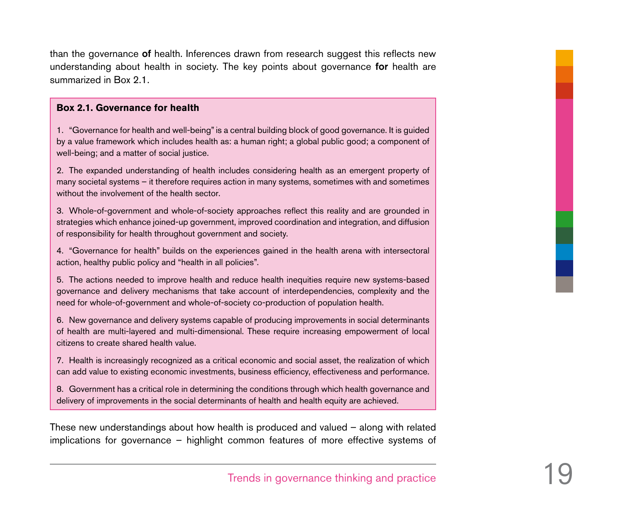than the governance of health. Inferences drawn from research suggest this reflects new understanding about health in society. The key points about governance for health are summarized in Box 2.1.

#### **Box 2.1. Governance for health**

1. "Governance for health and well-being" is a central building block of good governance. It is guided by a value framework which includes health as: a human right; a global public good; a component of well-being; and a matter of social justice.

2. The expanded understanding of health includes considering health as an emergent property of many societal systems – it therefore requires action in many systems, sometimes with and sometimes without the involvement of the health sector.

3. Whole-of-government and whole-of-society approaches reflect this reality and are grounded in strategies which enhance joined-up government, improved coordination and integration, and diffusion of responsibility for health throughout government and society.

4. "Governance for health" builds on the experiences gained in the health arena with intersectoral action, healthy public policy and "health in all policies".

5. The actions needed to improve health and reduce health inequities require new systems-based governance and delivery mechanisms that take account of interdependencies, complexity and the need for whole-of-government and whole-of-society co-production of population health.

6. New governance and delivery systems capable of producing improvements in social determinants of health are multi-layered and multi-dimensional. These require increasing empowerment of local citizens to create shared health value.

7. Health is increasingly recognized as a critical economic and social asset, the realization of which can add value to existing economic investments, business efficiency, effectiveness and performance.

8. Government has a critical role in determining the conditions through which health governance and delivery of improvements in the social determinants of health and health equity are achieved.

These new understandings about how health is produced and valued – along with related implications for governance – highlight common features of more effective systems of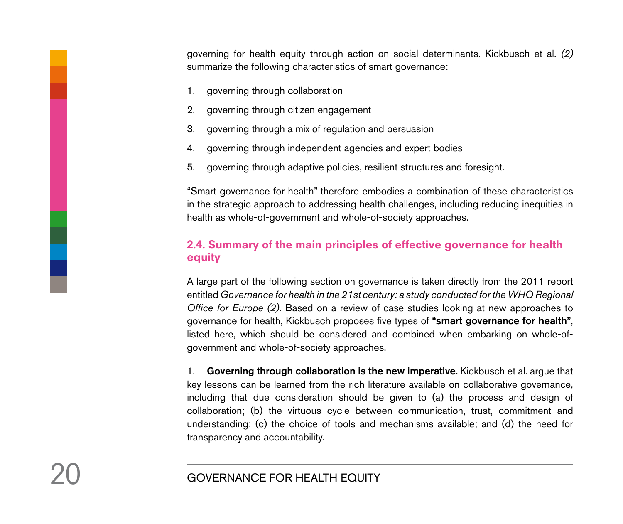<span id="page-33-0"></span>governing for health equity through action on social determinants. Kickbusch et al. *(2)* summarize the following characteristics of smart governance:

- 1. governing through collaboration
- 2. governing through citizen engagement
- 3. governing through a mix of regulation and persuasion
- 4. governing through independent agencies and expert bodies
- 5. governing through adaptive policies, resilient structures and foresight.

"Smart governance for health" therefore embodies a combination of these characteristics in the strategic approach to addressing health challenges, including reducing inequities in health as whole-of-government and whole-of-society approaches.

### 2.4. Summary of the main principles of effective governance for health equity

A large part of the following section on governance is taken directly from the 2011 report entitled *Governance for health in the 21st century: a study conducted for the WHO Regional Office for Europe (2)*. Based on a review of case studies looking at new approaches to governance for health, Kickbusch proposes five types of "smart governance for health", listed here, which should be considered and combined when embarking on whole-ofgovernment and whole-of-society approaches.

1. Governing through collaboration is the new imperative. Kickbusch et al. argue that key lessons can be learned from the rich literature available on collaborative governance, including that due consideration should be given to (a) the process and design of collaboration; (b) the virtuous cycle between communication, trust, commitment and understanding; (c) the choice of tools and mechanisms available; and (d) the need for transparency and accountability.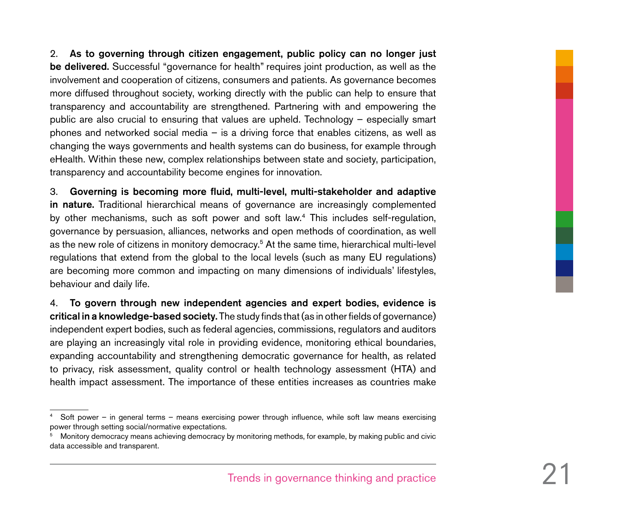2. As to governing through citizen engagement, public policy can no longer just be delivered. Successful "governance for health" requires joint production, as well as the involvement and cooperation of citizens, consumers and patients. As governance becomes more diffused throughout society, working directly with the public can help to ensure that transparency and accountability are strengthened. Partnering with and empowering the public are also crucial to ensuring that values are upheld. Technology – especially smart phones and networked social media – is a driving force that enables citizens, as well as changing the ways governments and health systems can do business, for example through eHealth. Within these new, complex relationships between state and society, participation, transparency and accountability become engines for innovation.

3. Governing is becoming more fluid, multi-level, multi-stakeholder and adaptive in nature. Traditional hierarchical means of governance are increasingly complemented by other mechanisms, such as soft power and soft law.<sup>4</sup> This includes self-regulation, governance by persuasion, alliances, networks and open methods of coordination, as well as the new role of citizens in monitory democracy.<sup>5</sup> At the same time, hierarchical multi-level regulations that extend from the global to the local levels (such as many EU regulations) are becoming more common and impacting on many dimensions of individuals' lifestyles, behaviour and daily life.

4. To govern through new independent agencies and expert bodies, evidence is critical in a knowledge-based society. The study finds that (as in other fields of governance) independent expert bodies, such as federal agencies, commissions, regulators and auditors are playing an increasingly vital role in providing evidence, monitoring ethical boundaries, expanding accountability and strengthening democratic governance for health, as related to privacy, risk assessment, quality control or health technology assessment (HTA) and health impact assessment. The importance of these entities increases as countries make

Soft power – in general terms – means exercising power through influence, while soft law means exercising power through setting social/normative expectations.

<sup>5</sup> Monitory democracy means achieving democracy by monitoring methods, for example, by making public and civic data accessible and transparent.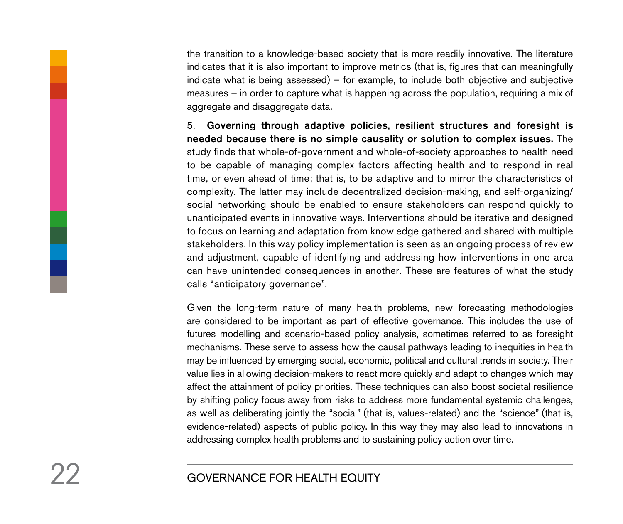the transition to a knowledge-based society that is more readily innovative. The literature indicates that it is also important to improve metrics (that is, figures that can meaningfully indicate what is being assessed) – for example, to include both objective and subjective measures – in order to capture what is happening across the population, requiring a mix of aggregate and disaggregate data.

5. Governing through adaptive policies, resilient structures and foresight is needed because there is no simple causality or solution to complex issues. The study finds that whole-of-government and whole-of-society approaches to health need to be capable of managing complex factors affecting health and to respond in real time, or even ahead of time; that is, to be adaptive and to mirror the characteristics of complexity. The latter may include decentralized decision-making, and self-organizing/ social networking should be enabled to ensure stakeholders can respond quickly to unanticipated events in innovative ways. Interventions should be iterative and designed to focus on learning and adaptation from knowledge gathered and shared with multiple stakeholders. In this way policy implementation is seen as an ongoing process of review and adjustment, capable of identifying and addressing how interventions in one area can have unintended consequences in another. These are features of what the study calls "anticipatory governance".

Given the long-term nature of many health problems, new forecasting methodologies are considered to be important as part of effective governance. This includes the use of futures modelling and scenario-based policy analysis, sometimes referred to as foresight mechanisms. These serve to assess how the causal pathways leading to inequities in health may be influenced by emerging social, economic, political and cultural trends in society. Their value lies in allowing decision-makers to react more quickly and adapt to changes which may affect the attainment of policy priorities. These techniques can also boost societal resilience by shifting policy focus away from risks to address more fundamental systemic challenges, as well as deliberating jointly the "social" (that is, values-related) and the "science" (that is, evidence-related) aspects of public policy. In this way they may also lead to innovations in addressing complex health problems and to sustaining policy action over time.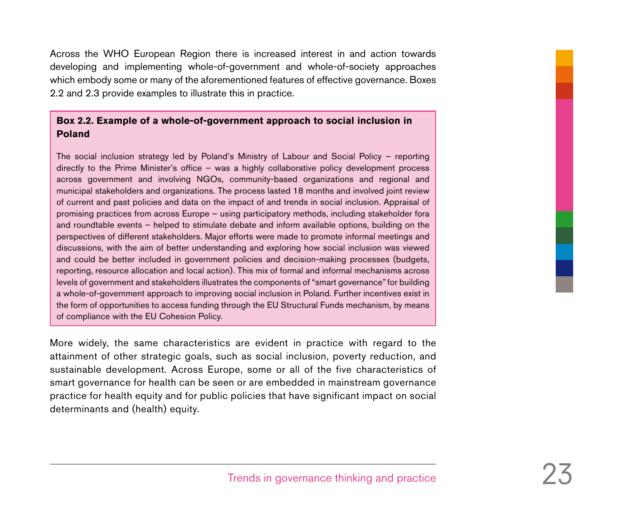Across the WHO European Region there is increased interest in and action towards developing and implementing whole-of-government and whole-of-society approaches which embody some or many of the aforementioned features of effective governance. Boxes 2.2 and 2.3 provide examples to illustrate this in practice.

## **Box 2.2. Example of a whole-of-government approach to social inclusion in Poland**

The social inclusion strategy led by Poland's Ministry of Labour and Social Policy – reporting directly to the Prime Minister's office – was a highly collaborative policy development process across government and involving NGOs, community-based organizations and regional and municipal stakeholders and organizations. The process lasted 18 months and involved joint review of current and past policies and data on the impact of and trends in social inclusion. Appraisal of promising practices from across Europe – using participatory methods, including stakeholder fora and roundtable events – helped to stimulate debate and inform available options, building on the perspectives of different stakeholders. Major efforts were made to promote informal meetings and discussions, with the aim of better understanding and exploring how social inclusion was viewed and could be better included in government policies and decision-making processes (budgets, reporting, resource allocation and local action). This mix of formal and informal mechanisms across levels of government and stakeholders illustrates the components of "smart governance" for building a whole-of-government approach to improving social inclusion in Poland. Further incentives exist in the form of opportunities to access funding through the EU Structural Funds mechanism, by means of compliance with the EU Cohesion Policy.

More widely, the same characteristics are evident in practice with regard to the attainment of other strategic goals, such as social inclusion, poverty reduction, and sustainable development. Across Europe, some or all of the five characteristics of smart governance for health can be seen or are embedded in mainstream governance practice for health equity and for public policies that have significant impact on social determinants and (health) equity.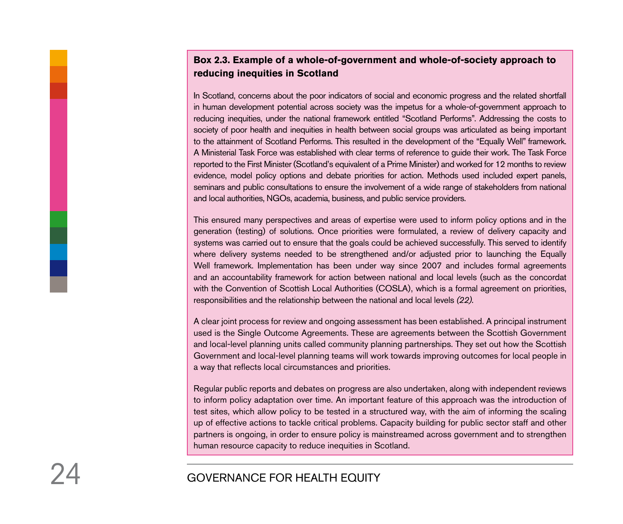## **Box 2.3. Example of a whole-of-government and whole-of-society approach to reducing inequities in Scotland**

In Scotland, concerns about the poor indicators of social and economic progress and the related shortfall in human development potential across society was the impetus for a whole-of-government approach to reducing inequities, under the national framework entitled "Scotland Performs". Addressing the costs to society of poor health and inequities in health between social groups was articulated as being important to the attainment of Scotland Performs. This resulted in the development of the "Equally Well" framework. A Ministerial Task Force was established with clear terms of reference to guide their work. The Task Force reported to the First Minister (Scotland's equivalent of a Prime Minister) and worked for 12 months to review evidence, model policy options and debate priorities for action. Methods used included expert panels, seminars and public consultations to ensure the involvement of a wide range of stakeholders from national and local authorities, NGOs, academia, business, and public service providers.

This ensured many perspectives and areas of expertise were used to inform policy options and in the generation (testing) of solutions. Once priorities were formulated, a review of delivery capacity and systems was carried out to ensure that the goals could be achieved successfully. This served to identify where delivery systems needed to be strengthened and/or adjusted prior to launching the Equally Well framework. Implementation has been under way since 2007 and includes formal agreements and an accountability framework for action between national and local levels (such as the concordat with the Convention of Scottish Local Authorities (COSLA), which is a formal agreement on priorities, responsibilities and the relationship between the national and local levels *(22)*.

A clear joint process for review and ongoing assessment has been established. A principal instrument used is the Single Outcome Agreements. These are agreements between the Scottish Government and local-level planning units called community planning partnerships. They set out how the Scottish Government and local-level planning teams will work towards improving outcomes for local people in a way that reflects local circumstances and priorities.

Regular public reports and debates on progress are also undertaken, along with independent reviews to inform policy adaptation over time. An important feature of this approach was the introduction of test sites, which allow policy to be tested in a structured way, with the aim of informing the scaling up of effective actions to tackle critical problems. Capacity building for public sector staff and other partners is ongoing, in order to ensure policy is mainstreamed across government and to strengthen human resource capacity to reduce inequities in Scotland.

# GOVERNANCE FOR HEALTH EQUITY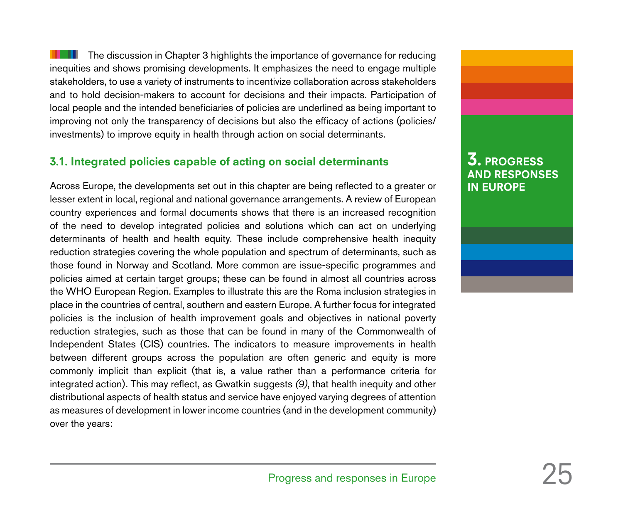The discussion in Chapter 3 highlights the importance of governance for reducing inequities and shows promising developments. It emphasizes the need to engage multiple stakeholders, to use a variety of instruments to incentivize collaboration across stakeholders and to hold decision-makers to account for decisions and their impacts. Participation of local people and the intended beneficiaries of policies are underlined as being important to improving not only the transparency of decisions but also the efficacy of actions (policies/ investments) to improve equity in health through action on social determinants.

# 3.1. Integrated policies capable of acting on social determinants

Across Europe, the developments set out in this chapter are being reflected to a greater or lesser extent in local, regional and national governance arrangements. A review of European country experiences and formal documents shows that there is an increased recognition of the need to develop integrated policies and solutions which can act on underlying determinants of health and health equity. These include comprehensive health inequity reduction strategies covering the whole population and spectrum of determinants, such as those found in Norway and Scotland. More common are issue-specific programmes and policies aimed at certain target groups; these can be found in almost all countries across the WHO European Region. Examples to illustrate this are the Roma inclusion strategies in place in the countries of central, southern and eastern Europe. A further focus for integrated policies is the inclusion of health improvement goals and objectives in national poverty reduction strategies, such as those that can be found in many of the Commonwealth of Independent States (CIS) countries. The indicators to measure improvements in health between different groups across the population are often generic and equity is more commonly implicit than explicit (that is, a value rather than a performance criteria for integrated action). This may reflect, as Gwatkin suggests *(9)*, that health inequity and other distributional aspects of health status and service have enjoyed varying degrees of attention as measures of development in lower income countries (and in the development community) over the years:

3. Progress and responses in Europe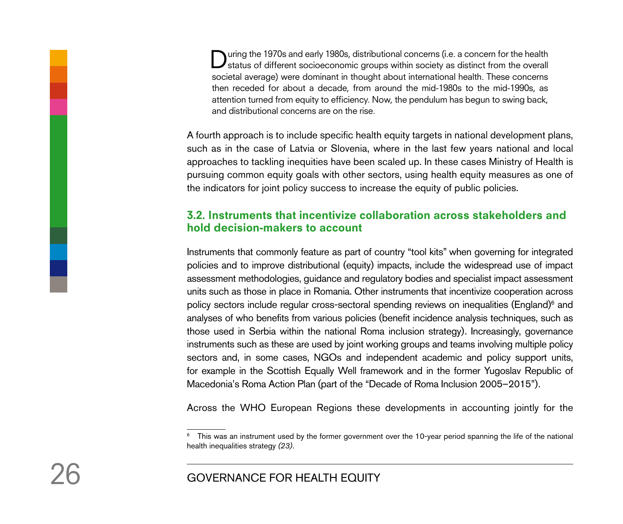During the 1970s and early 1980s, distributional concerns (i.e. a concern for the health status of different socioeconomic groups within society as distinct from the overall societal average) were dominant in thought about international health. These concerns then receded for about a decade, from around the mid-1980s to the mid-1990s, as attention turned from equity to efficiency. Now, the pendulum has begun to swing back, and distributional concerns are on the rise.

A fourth approach is to include specific health equity targets in national development plans, such as in the case of Latvia or Slovenia, where in the last few years national and local approaches to tackling inequities have been scaled up. In these cases Ministry of Health is pursuing common equity goals with other sectors, using health equity measures as one of the indicators for joint policy success to increase the equity of public policies.

## 3.2. Instruments that incentivize collaboration across stakeholders and hold decision-makers to account

Instruments that commonly feature as part of country "tool kits" when governing for integrated policies and to improve distributional (equity) impacts, include the widespread use of impact assessment methodologies, guidance and regulatory bodies and specialist impact assessment units such as those in place in Romania. Other instruments that incentivize cooperation across policy sectors include regular cross-sectoral spending reviews on inequalities (England)<sup>6</sup> and analyses of who benefits from various policies (benefit incidence analysis techniques, such as those used in Serbia within the national Roma inclusion strategy). Increasingly, governance instruments such as these are used by joint working groups and teams involving multiple policy sectors and, in some cases, NGOs and independent academic and policy support units, for example in the Scottish Equally Well framework and in the former Yugoslav Republic of Macedonia's Roma Action Plan (part of the "Decade of Roma Inclusion 2005–2015").

Across the WHO European Regions these developments in accounting jointly for the

<sup>&</sup>lt;sup>6</sup> This was an instrument used by the former government over the 10-year period spanning the life of the national health inequalities strategy *(23).*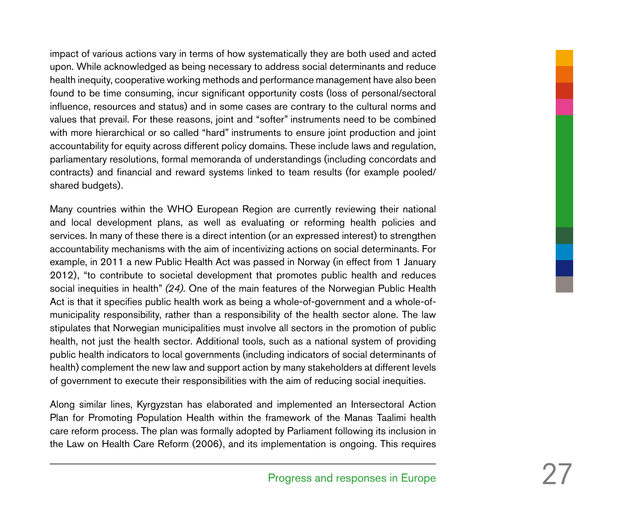impact of various actions vary in terms of how systematically they are both used and acted upon. While acknowledged as being necessary to address social determinants and reduce health inequity, cooperative working methods and performance management have also been found to be time consuming, incur significant opportunity costs (loss of personal/sectoral influence, resources and status) and in some cases are contrary to the cultural norms and values that prevail. For these reasons, joint and "softer" instruments need to be combined with more hierarchical or so called "hard" instruments to ensure joint production and joint accountability for equity across different policy domains. These include laws and regulation, parliamentary resolutions, formal memoranda of understandings (including concordats and contracts) and financial and reward systems linked to team results (for example pooled/ shared budgets).

Many countries within the WHO European Region are currently reviewing their national and local development plans, as well as evaluating or reforming health policies and services. In many of these there is a direct intention (or an expressed interest) to strengthen accountability mechanisms with the aim of incentivizing actions on social determinants. For example, in 2011 a new Public Health Act was passed in Norway (in effect from 1 January 2012), "to contribute to societal development that promotes public health and reduces social inequities in health" *(24)*. One of the main features of the Norwegian Public Health Act is that it specifies public health work as being a whole-of-government and a whole-ofmunicipality responsibility, rather than a responsibility of the health sector alone. The law stipulates that Norwegian municipalities must involve all sectors in the promotion of public health, not just the health sector. Additional tools, such as a national system of providing public health indicators to local governments (including indicators of social determinants of health) complement the new law and support action by many stakeholders at different levels of government to execute their responsibilities with the aim of reducing social inequities.

Along similar lines, Kyrgyzstan has elaborated and implemented an Intersectoral Action Plan for Promoting Population Health within the framework of the Manas Taalimi health care reform process. The plan was formally adopted by Parliament following its inclusion in the Law on Health Care Reform (2006), and its implementation is ongoing. This requires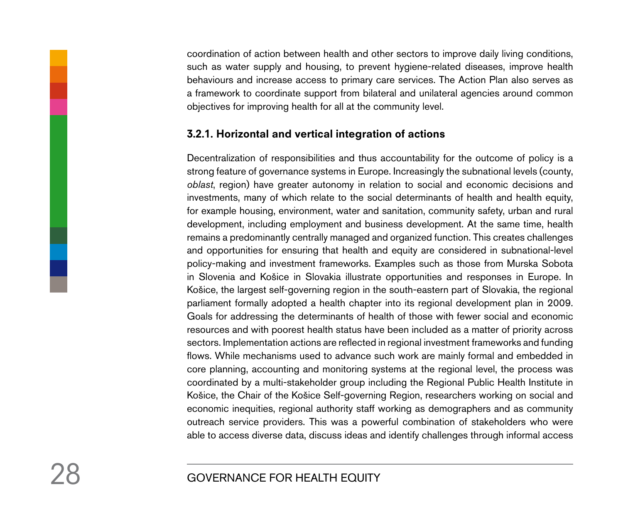coordination of action between health and other sectors to improve daily living conditions, such as water supply and housing, to prevent hygiene-related diseases, improve health behaviours and increase access to primary care services. The Action Plan also serves as a framework to coordinate support from bilateral and unilateral agencies around common objectives for improving health for all at the community level.

## 3.2.1. Horizontal and vertical integration of actions

Decentralization of responsibilities and thus accountability for the outcome of policy is a strong feature of governance systems in Europe. Increasingly the subnational levels (county, *oblast*, region) have greater autonomy in relation to social and economic decisions and investments, many of which relate to the social determinants of health and health equity, for example housing, environment, water and sanitation, community safety, urban and rural development, including employment and business development. At the same time, health remains a predominantly centrally managed and organized function. This creates challenges and opportunities for ensuring that health and equity are considered in subnational-level policy-making and investment frameworks. Examples such as those from Murska Sobota in Slovenia and Košice in Slovakia illustrate opportunities and responses in Europe. In Košice, the largest self-governing region in the south-eastern part of Slovakia, the regional parliament formally adopted a health chapter into its regional development plan in 2009. Goals for addressing the determinants of health of those with fewer social and economic resources and with poorest health status have been included as a matter of priority across sectors. Implementation actions are reflected in regional investment frameworks and funding flows. While mechanisms used to advance such work are mainly formal and embedded in core planning, accounting and monitoring systems at the regional level, the process was coordinated by a multi-stakeholder group including the Regional Public Health Institute in Košice, the Chair of the Košice Self-governing Region, researchers working on social and economic inequities, regional authority staff working as demographers and as community outreach service providers. This was a powerful combination of stakeholders who were able to access diverse data, discuss ideas and identify challenges through informal access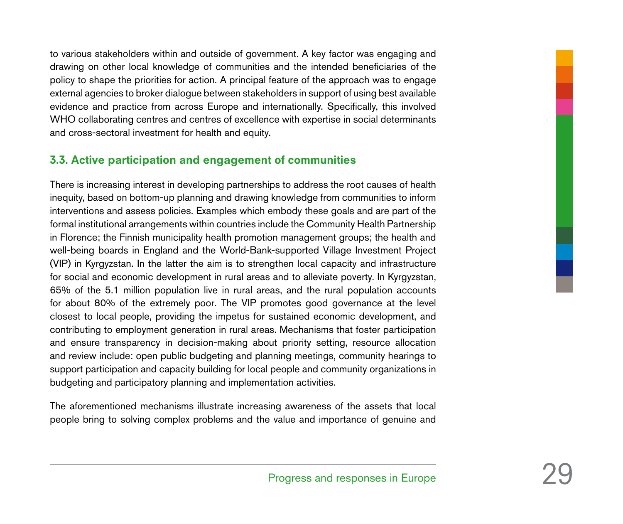to various stakeholders within and outside of government. A key factor was engaging and drawing on other local knowledge of communities and the intended beneficiaries of the policy to shape the priorities for action. A principal feature of the approach was to engage external agencies to broker dialogue between stakeholders in support of using best available evidence and practice from across Europe and internationally. Specifically, this involved WHO collaborating centres and centres of excellence with expertise in social determinants and cross-sectoral investment for health and equity.

# 3.3. Active participation and engagement of communities

There is increasing interest in developing partnerships to address the root causes of health inequity, based on bottom-up planning and drawing knowledge from communities to inform interventions and assess policies. Examples which embody these goals and are part of the formal institutional arrangements within countries include the Community Health Partnership in Florence; the Finnish municipality health promotion management groups; the health and well-being boards in England and the World-Bank-supported Village Investment Project (VIP) in Kyrgyzstan. In the latter the aim is to strengthen local capacity and infrastructure for social and economic development in rural areas and to alleviate poverty. In Kyrgyzstan, 65% of the 5.1 million population live in rural areas, and the rural population accounts for about 80% of the extremely poor. The VIP promotes good governance at the level closest to local people, providing the impetus for sustained economic development, and contributing to employment generation in rural areas. Mechanisms that foster participation and ensure transparency in decision-making about priority setting, resource allocation and review include: open public budgeting and planning meetings, community hearings to support participation and capacity building for local people and community organizations in budgeting and participatory planning and implementation activities.

The aforementioned mechanisms illustrate increasing awareness of the assets that local people bring to solving complex problems and the value and importance of genuine and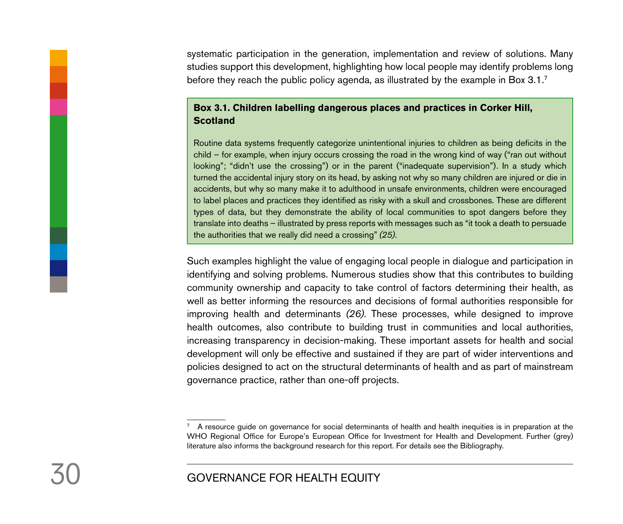systematic participation in the generation, implementation and review of solutions. Many studies support this development, highlighting how local people may identify problems long before they reach the public policy agenda, as illustrated by the example in Box 3.1.<sup>7</sup>

## **Box 3.1. Children labelling dangerous places and practices in Corker Hill, Scotland**

Routine data systems frequently categorize unintentional injuries to children as being deficits in the child – for example, when injury occurs crossing the road in the wrong kind of way ("ran out without looking"; "didn't use the crossing") or in the parent ("inadequate supervision"). In a study which turned the accidental injury story on its head, by asking not why so many children are injured or die in accidents, but why so many make it to adulthood in unsafe environments, children were encouraged to label places and practices they identified as risky with a skull and crossbones. These are different types of data, but they demonstrate the ability of local communities to spot dangers before they translate into deaths – illustrated by press reports with messages such as "it took a death to persuade the authorities that we really did need a crossing" *(25)*.

Such examples highlight the value of engaging local people in dialogue and participation in identifying and solving problems. Numerous studies show that this contributes to building community ownership and capacity to take control of factors determining their health, as well as better informing the resources and decisions of formal authorities responsible for improving health and determinants *(26)*. These processes, while designed to improve health outcomes, also contribute to building trust in communities and local authorities, increasing transparency in decision-making. These important assets for health and social development will only be effective and sustained if they are part of wider interventions and policies designed to act on the structural determinants of health and as part of mainstream governance practice, rather than one-off projects.

<sup>7</sup> A resource guide on governance for social determinants of health and health inequities is in preparation at the WHO Regional Office for Europe's European Office for Investment for Health and Development. Further (grey) literature also informs the background research for this report. For details see the Bibliography.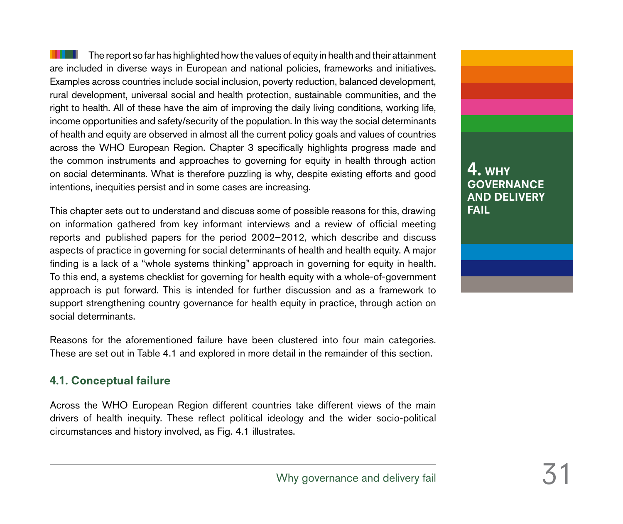The report so far has highlighted how the values of equity in health and their attainment are included in diverse ways in European and national policies, frameworks and initiatives. Examples across countries include social inclusion, poverty reduction, balanced development, rural development, universal social and health protection, sustainable communities, and the right to health. All of these have the aim of improving the daily living conditions, working life, income opportunities and safety/security of the population. In this way the social determinants of health and equity are observed in almost all the current policy goals and values of countries across the WHO European Region. Chapter 3 specifically highlights progress made and the common instruments and approaches to governing for equity in health through action on social determinants. What is therefore puzzling is why, despite existing efforts and good intentions, inequities persist and in some cases are increasing.

This chapter sets out to understand and discuss some of possible reasons for this, drawing on information gathered from key informant interviews and a review of official meeting reports and published papers for the period 2002–2012, which describe and discuss aspects of practice in governing for social determinants of health and health equity. A major finding is a lack of a "whole systems thinking" approach in governing for equity in health. To this end, a systems checklist for governing for health equity with a whole-of-government approach is put forward. This is intended for further discussion and as a framework to support strengthening country governance for health equity in practice, through action on social determinants.

Reasons for the aforementioned failure have been clustered into four main categories. These are set out in Table 4.1 and explored in more detail in the remainder of this section.

# 4.1. Conceptual failure

Across the WHO European Region different countries take different views of the main drivers of health inequity. These reflect political ideology and the wider socio-political circumstances and history involved, as Fig. 4.1 illustrates.

4. Why **GOVERNANCE** and delivery **FAIL**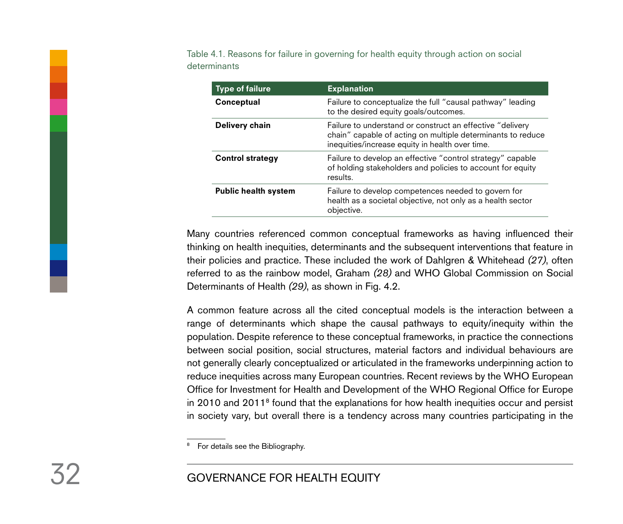Table 4.1. Reasons for failure in governing for health equity through action on social determinants

| <b>Type of failure</b>      | <b>Explanation</b>                                                                                                                                                          |
|-----------------------------|-----------------------------------------------------------------------------------------------------------------------------------------------------------------------------|
| <b>Conceptual</b>           | Failure to conceptualize the full "causal pathway" leading<br>to the desired equity goals/outcomes.                                                                         |
| Delivery chain              | Failure to understand or construct an effective "delivery<br>chain" capable of acting on multiple determinants to reduce<br>inequities/increase equity in health over time. |
| <b>Control strategy</b>     | Failure to develop an effective "control strategy" capable<br>of holding stakeholders and policies to account for equity<br>results.                                        |
| <b>Public health system</b> | Failure to develop competences needed to govern for<br>health as a societal objective, not only as a health sector<br>objective.                                            |

Many countries referenced common conceptual frameworks as having influenced their thinking on health inequities, determinants and the subsequent interventions that feature in their policies and practice. These included the work of Dahlgren & Whitehead *(27)*, often referred to as the rainbow model, Graham *(28)* and WHO Global Commission on Social Determinants of Health *(29)*, as shown in Fig. 4.2.

A common feature across all the cited conceptual models is the interaction between a range of determinants which shape the causal pathways to equity/inequity within the population. Despite reference to these conceptual frameworks, in practice the connections between social position, social structures, material factors and individual behaviours are not generally clearly conceptualized or articulated in the frameworks underpinning action to reduce inequities across many European countries. Recent reviews by the WHO European Office for Investment for Health and Development of the WHO Regional Office for Europe in 2010 and 20118 found that the explanations for how health inequities occur and persist in society vary, but overall there is a tendency across many countries participating in the

For details see the Bibliography.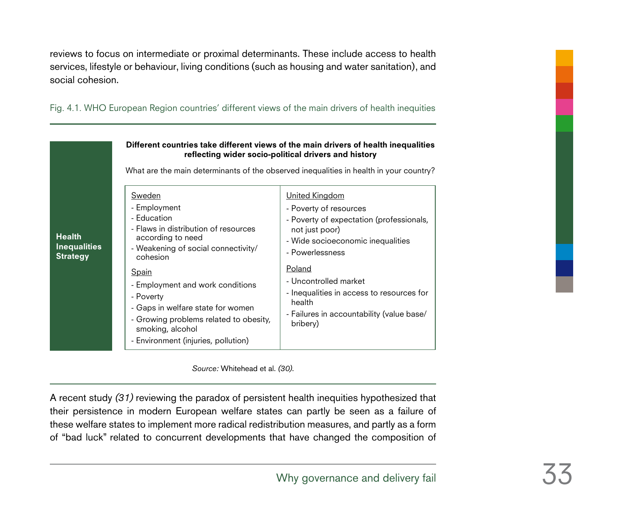reviews to focus on intermediate or proximal determinants. These include access to health services, lifestyle or behaviour, living conditions (such as housing and water sanitation), and social cohesion.

Fig. 4.1. WHO European Region countries' different views of the main drivers of health inequities

|                                                         |                                                                                                                                                                                                                                                                                                                                                                  | reflecting wider socio-political drivers and history<br>What are the main determinants of the observed inequalities in health in your country?                                                                                                                                                                    |
|---------------------------------------------------------|------------------------------------------------------------------------------------------------------------------------------------------------------------------------------------------------------------------------------------------------------------------------------------------------------------------------------------------------------------------|-------------------------------------------------------------------------------------------------------------------------------------------------------------------------------------------------------------------------------------------------------------------------------------------------------------------|
| <b>Health</b><br><b>Inequalities</b><br><b>Strategy</b> | Sweden<br>- Employment<br>- Education<br>- Flaws in distribution of resources<br>according to need<br>- Weakening of social connectivity/<br>cohesion<br><u>Spain</u><br>- Employment and work conditions<br>- Poverty<br>- Gaps in welfare state for women<br>- Growing problems related to obesity,<br>smoking, alcohol<br>- Environment (injuries, pollution) | United Kingdom<br>- Poverty of resources<br>- Poverty of expectation (professionals,<br>not just poor)<br>- Wide socioeconomic inequalities<br>- Powerlessness<br>Poland<br>- Uncontrolled market<br>- Inequalities in access to resources for<br>health<br>- Failures in accountability (value base/<br>bribery) |

*Source:* Whitehead et al. *(30)*.

A recent study *(31)* reviewing the paradox of persistent health inequities hypothesized that their persistence in modern European welfare states can partly be seen as a failure of these welfare states to implement more radical redistribution measures, and partly as a form of "bad luck" related to concurrent developments that have changed the composition of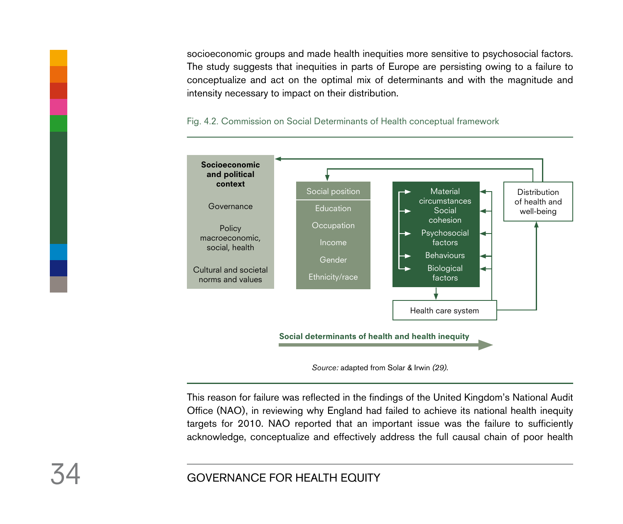socioeconomic groups and made health inequities more sensitive to psychosocial factors. The study suggests that inequities in parts of Europe are persisting owing to a failure to conceptualize and act on the optimal mix of determinants and with the magnitude and intensity necessary to impact on their distribution.





*Source:* adapted from Solar & Irwin *(29)*.

This reason for failure was reflected in the findings of the United Kingdom's National Audit Office (NAO), in reviewing why England had failed to achieve its national health inequity targets for 2010. NAO reported that an important issue was the failure to sufficiently acknowledge, conceptualize and effectively address the full causal chain of poor health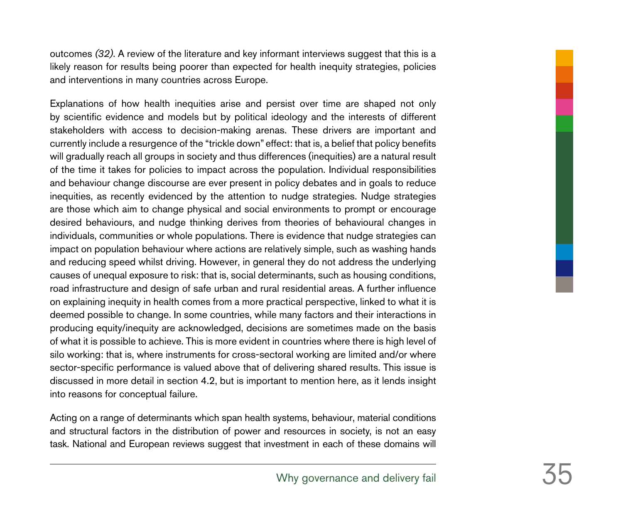outcomes *(32)*. A review of the literature and key informant interviews suggest that this is a likely reason for results being poorer than expected for health inequity strategies, policies and interventions in many countries across Europe.

Explanations of how health inequities arise and persist over time are shaped not only by scientific evidence and models but by political ideology and the interests of different stakeholders with access to decision-making arenas. These drivers are important and currently include a resurgence of the "trickle down" effect: that is, a belief that policy benefits will gradually reach all groups in society and thus differences (inequities) are a natural result of the time it takes for policies to impact across the population. Individual responsibilities and behaviour change discourse are ever present in policy debates and in goals to reduce inequities, as recently evidenced by the attention to nudge strategies. Nudge strategies are those which aim to change physical and social environments to prompt or encourage desired behaviours, and nudge thinking derives from theories of behavioural changes in individuals, communities or whole populations. There is evidence that nudge strategies can impact on population behaviour where actions are relatively simple, such as washing hands and reducing speed whilst driving. However, in general they do not address the underlying causes of unequal exposure to risk: that is, social determinants, such as housing conditions, road infrastructure and design of safe urban and rural residential areas. A further influence on explaining inequity in health comes from a more practical perspective, linked to what it is deemed possible to change. In some countries, while many factors and their interactions in producing equity/inequity are acknowledged, decisions are sometimes made on the basis of what it is possible to achieve. This is more evident in countries where there is high level of silo working: that is, where instruments for cross-sectoral working are limited and/or where sector-specific performance is valued above that of delivering shared results. This issue is discussed in more detail in section 4.2, but is important to mention here, as it lends insight into reasons for conceptual failure.

Acting on a range of determinants which span health systems, behaviour, material conditions and structural factors in the distribution of power and resources in society, is not an easy task. National and European reviews suggest that investment in each of these domains will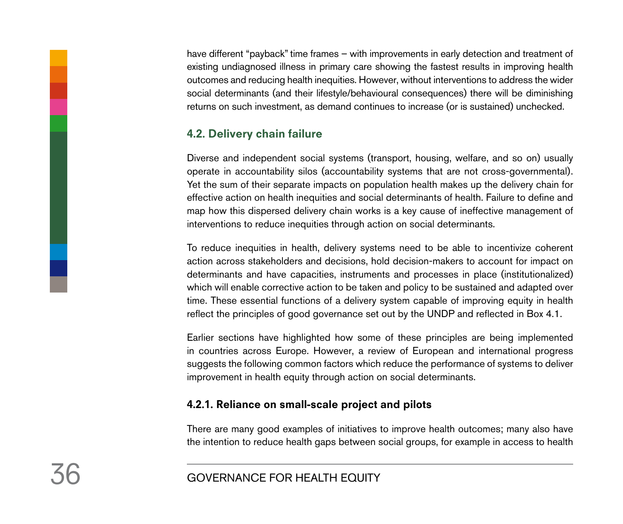have different "payback" time frames – with improvements in early detection and treatment of existing undiagnosed illness in primary care showing the fastest results in improving health outcomes and reducing health inequities. However, without interventions to address the wider social determinants (and their lifestyle/behavioural consequences) there will be diminishing returns on such investment, as demand continues to increase (or is sustained) unchecked.

# 4.2. Delivery chain failure

Diverse and independent social systems (transport, housing, welfare, and so on) usually operate in accountability silos (accountability systems that are not cross-governmental). Yet the sum of their separate impacts on population health makes up the delivery chain for effective action on health inequities and social determinants of health. Failure to define and map how this dispersed delivery chain works is a key cause of ineffective management of interventions to reduce inequities through action on social determinants.

To reduce inequities in health, delivery systems need to be able to incentivize coherent action across stakeholders and decisions, hold decision-makers to account for impact on determinants and have capacities, instruments and processes in place (institutionalized) which will enable corrective action to be taken and policy to be sustained and adapted over time. These essential functions of a delivery system capable of improving equity in health reflect the principles of good governance set out by the UNDP and reflected in Box 4.1.

Earlier sections have highlighted how some of these principles are being implemented in countries across Europe. However, a review of European and international progress suggests the following common factors which reduce the performance of systems to deliver improvement in health equity through action on social determinants.

# 4.2.1. Reliance on small-scale project and pilots

There are many good examples of initiatives to improve health outcomes; many also have the intention to reduce health gaps between social groups, for example in access to health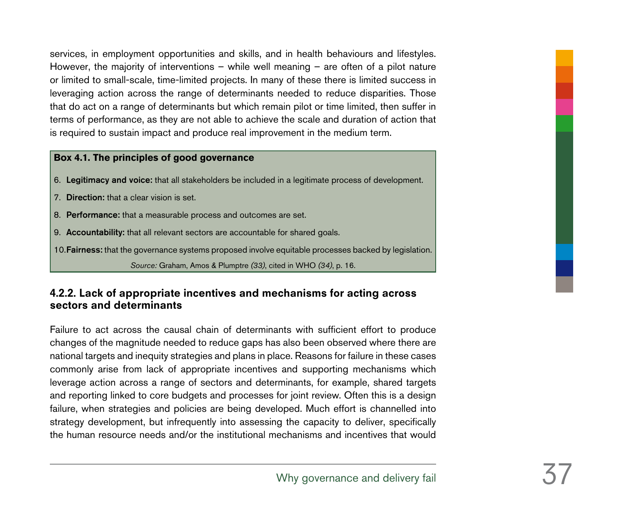services, in employment opportunities and skills, and in health behaviours and lifestyles. However, the majority of interventions – while well meaning – are often of a pilot nature or limited to small-scale, time-limited projects. In many of these there is limited success in leveraging action across the range of determinants needed to reduce disparities. Those that do act on a range of determinants but which remain pilot or time limited, then suffer in terms of performance, as they are not able to achieve the scale and duration of action that is required to sustain impact and produce real improvement in the medium term.

## **Box 4.1. The principles of good governance**

- 6. Legitimacy and voice: that all stakeholders be included in a legitimate process of development.
- 7. Direction: that a clear vision is set.
- 8. Performance: that a measurable process and outcomes are set.
- 9. Accountability: that all relevant sectors are accountable for shared goals.
- 10.Fairness: that the governance systems proposed involve equitable processes backed by legislation.

*Source:* Graham, Amos & Plumptre *(33)*, cited in WHO *(34)*, p. 16.

# 4.2.2. Lack of appropriate incentives and mechanisms for acting across sectors and determinants

Failure to act across the causal chain of determinants with sufficient effort to produce changes of the magnitude needed to reduce gaps has also been observed where there are national targets and inequity strategies and plans in place. Reasons for failure in these cases commonly arise from lack of appropriate incentives and supporting mechanisms which leverage action across a range of sectors and determinants, for example, shared targets and reporting linked to core budgets and processes for joint review. Often this is a design failure, when strategies and policies are being developed. Much effort is channelled into strategy development, but infrequently into assessing the capacity to deliver, specifically the human resource needs and/or the institutional mechanisms and incentives that would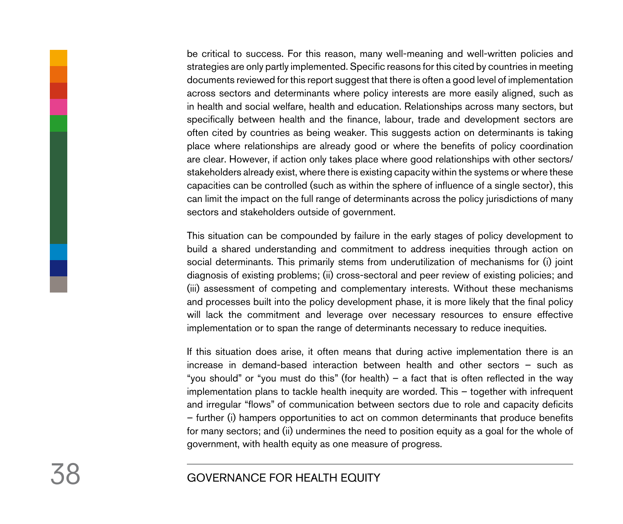be critical to success. For this reason, many well-meaning and well-written policies and strategies are only partly implemented. Specific reasons for this cited by countries in meeting documents reviewed for this report suggest that there is often a good level of implementation across sectors and determinants where policy interests are more easily aligned, such as in health and social welfare, health and education. Relationships across many sectors, but specifically between health and the finance, labour, trade and development sectors are often cited by countries as being weaker. This suggests action on determinants is taking place where relationships are already good or where the benefits of policy coordination are clear. However, if action only takes place where good relationships with other sectors/ stakeholders already exist, where there is existing capacity within the systems or where these capacities can be controlled (such as within the sphere of influence of a single sector), this can limit the impact on the full range of determinants across the policy jurisdictions of many sectors and stakeholders outside of government.

This situation can be compounded by failure in the early stages of policy development to build a shared understanding and commitment to address inequities through action on social determinants. This primarily stems from underutilization of mechanisms for (i) joint diagnosis of existing problems; (ii) cross-sectoral and peer review of existing policies; and (iii) assessment of competing and complementary interests. Without these mechanisms and processes built into the policy development phase, it is more likely that the final policy will lack the commitment and leverage over necessary resources to ensure effective implementation or to span the range of determinants necessary to reduce inequities.

If this situation does arise, it often means that during active implementation there is an increase in demand-based interaction between health and other sectors – such as "you should" or "you must do this" (for health) – a fact that is often reflected in the way implementation plans to tackle health inequity are worded. This – together with infrequent and irregular "flows" of communication between sectors due to role and capacity deficits – further (i) hampers opportunities to act on common determinants that produce benefits for many sectors; and (ii) undermines the need to position equity as a goal for the whole of government, with health equity as one measure of progress.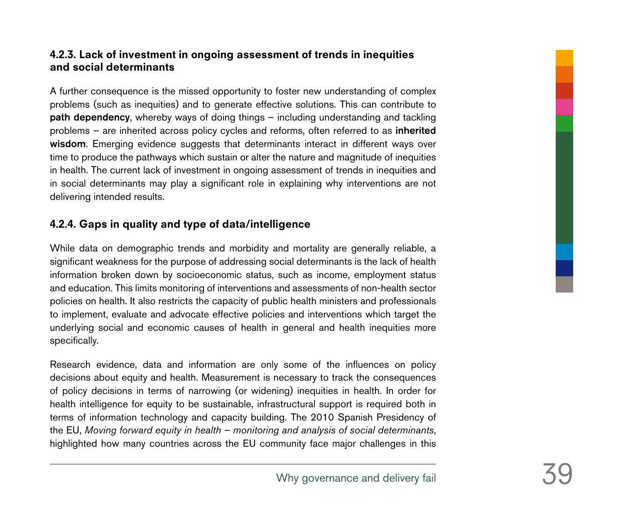## 4.2.3. Lack of investment in ongoing assessment of trends in inequities and social determinants

A further consequence is the missed opportunity to foster new understanding of complex problems (such as inequities) and to generate effective solutions. This can contribute to path dependency, whereby ways of doing things – including understanding and tackling problems – are inherited across policy cycles and reforms, often referred to as inherited wisdom. Emerging evidence suggests that determinants interact in different ways over time to produce the pathways which sustain or alter the nature and magnitude of inequities in health. The current lack of investment in ongoing assessment of trends in inequities and in social determinants may play a significant role in explaining why interventions are not delivering intended results.

# 4.2.4. Gaps in quality and type of data/intelligence

While data on demographic trends and morbidity and mortality are generally reliable, a significant weakness for the purpose of addressing social determinants is the lack of health information broken down by socioeconomic status, such as income, employment status and education. This limits monitoring of interventions and assessments of non-health sector policies on health. It also restricts the capacity of public health ministers and professionals to implement, evaluate and advocate effective policies and interventions which target the underlying social and economic causes of health in general and health inequities more specifically.

Research evidence, data and information are only some of the influences on policy decisions about equity and health. Measurement is necessary to track the consequences of policy decisions in terms of narrowing (or widening) inequities in health. In order for health intelligence for equity to be sustainable, infrastructural support is required both in terms of information technology and capacity building. The 2010 Spanish Presidency of the EU, *Moving forward equity in health – monitoring and analysis of social determinants*, highlighted how many countries across the EU community face major challenges in this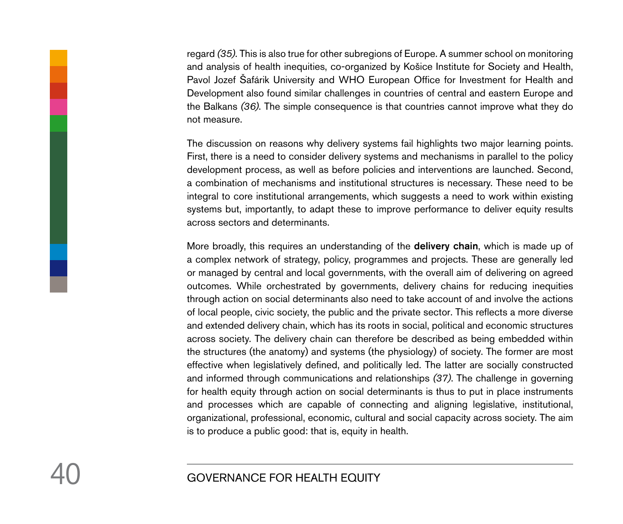regard *(35)*. This is also true for other subregions of Europe. A summer school on monitoring and analysis of health inequities, co-organized by Košice Institute for Society and Health, Pavol Jozef Šafárik University and WHO European Office for Investment for Health and Development also found similar challenges in countries of central and eastern Europe and the Balkans *(36)*. The simple consequence is that countries cannot improve what they do not measure.

The discussion on reasons why delivery systems fail highlights two major learning points. First, there is a need to consider delivery systems and mechanisms in parallel to the policy development process, as well as before policies and interventions are launched. Second, a combination of mechanisms and institutional structures is necessary. These need to be integral to core institutional arrangements, which suggests a need to work within existing systems but, importantly, to adapt these to improve performance to deliver equity results across sectors and determinants.

More broadly, this requires an understanding of the delivery chain, which is made up of a complex network of strategy, policy, programmes and projects. These are generally led or managed by central and local governments, with the overall aim of delivering on agreed outcomes. While orchestrated by governments, delivery chains for reducing inequities through action on social determinants also need to take account of and involve the actions of local people, civic society, the public and the private sector. This reflects a more diverse and extended delivery chain, which has its roots in social, political and economic structures across society. The delivery chain can therefore be described as being embedded within the structures (the anatomy) and systems (the physiology) of society. The former are most effective when legislatively defined, and politically led. The latter are socially constructed and informed through communications and relationships *(37)*. The challenge in governing for health equity through action on social determinants is thus to put in place instruments and processes which are capable of connecting and aligning legislative, institutional, organizational, professional, economic, cultural and social capacity across society. The aim is to produce a public good: that is, equity in health.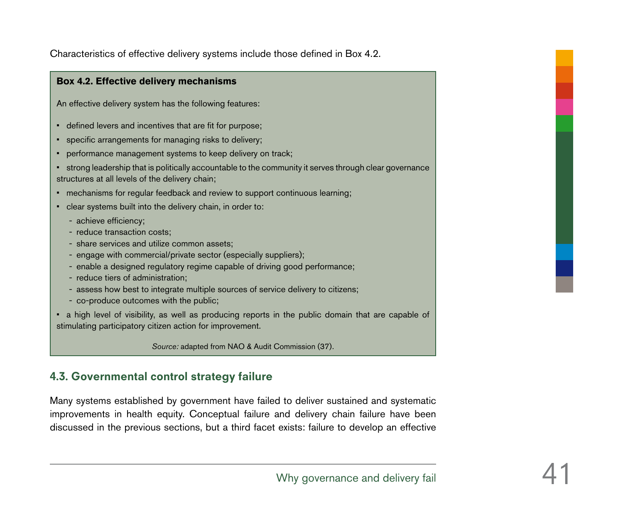Characteristics of effective delivery systems include those defined in Box 4.2.

## **Box 4.2. Effective delivery mechanisms**

An effective delivery system has the following features:

- • defined levers and incentives that are fit for purpose;
- • specific arrangements for managing risks to delivery;
- performance management systems to keep delivery on track;
- strong leadership that is politically accountable to the community it serves through clear governance structures at all levels of the delivery chain;
- mechanisms for regular feedback and review to support continuous learning;
- • clear systems built into the delivery chain, in order to:
	- achieve efficiency;
	- reduce transaction costs;
	- share services and utilize common assets;
	- engage with commercial/private sector (especially suppliers);
	- enable a designed regulatory regime capable of driving good performance;
	- reduce tiers of administration;
	- assess how best to integrate multiple sources of service delivery to citizens;
	- co-produce outcomes with the public;

• a high level of visibility, as well as producing reports in the public domain that are capable of stimulating participatory citizen action for improvement.

*Source:* adapted from NAO & Audit Commission (37).

# 4.3. Governmental control strategy failure

Many systems established by government have failed to deliver sustained and systematic improvements in health equity. Conceptual failure and delivery chain failure have been discussed in the previous sections, but a third facet exists: failure to develop an effective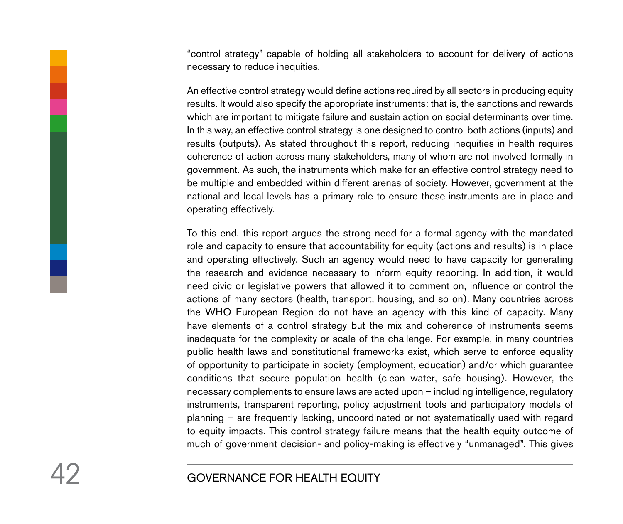"control strategy" capable of holding all stakeholders to account for delivery of actions necessary to reduce inequities.

An effective control strategy would define actions required by all sectors in producing equity results. It would also specify the appropriate instruments: that is, the sanctions and rewards which are important to mitigate failure and sustain action on social determinants over time. In this way, an effective control strategy is one designed to control both actions (inputs) and results (outputs). As stated throughout this report, reducing inequities in health requires coherence of action across many stakeholders, many of whom are not involved formally in government. As such, the instruments which make for an effective control strategy need to be multiple and embedded within different arenas of society. However, government at the national and local levels has a primary role to ensure these instruments are in place and operating effectively.

To this end, this report argues the strong need for a formal agency with the mandated role and capacity to ensure that accountability for equity (actions and results) is in place and operating effectively. Such an agency would need to have capacity for generating the research and evidence necessary to inform equity reporting. In addition, it would need civic or legislative powers that allowed it to comment on, influence or control the actions of many sectors (health, transport, housing, and so on). Many countries across the WHO European Region do not have an agency with this kind of capacity. Many have elements of a control strategy but the mix and coherence of instruments seems inadequate for the complexity or scale of the challenge. For example, in many countries public health laws and constitutional frameworks exist, which serve to enforce equality of opportunity to participate in society (employment, education) and/or which guarantee conditions that secure population health (clean water, safe housing). However, the necessary complements to ensure laws are acted upon – including intelligence, regulatory instruments, transparent reporting, policy adjustment tools and participatory models of planning – are frequently lacking, uncoordinated or not systematically used with regard to equity impacts. This control strategy failure means that the health equity outcome of much of government decision- and policy-making is effectively "unmanaged". This gives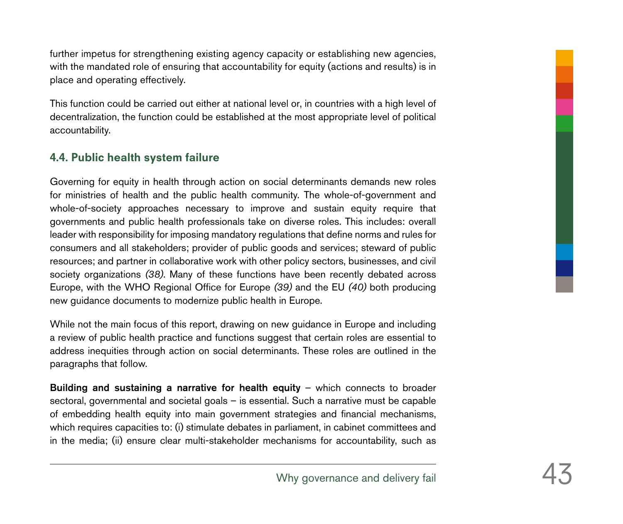further impetus for strengthening existing agency capacity or establishing new agencies, with the mandated role of ensuring that accountability for equity (actions and results) is in place and operating effectively.

This function could be carried out either at national level or, in countries with a high level of decentralization, the function could be established at the most appropriate level of political accountability.

# 4.4. Public health system failure

Governing for equity in health through action on social determinants demands new roles for ministries of health and the public health community. The whole-of-government and whole-of-society approaches necessary to improve and sustain equity require that governments and public health professionals take on diverse roles. This includes: overall leader with responsibility for imposing mandatory regulations that define norms and rules for consumers and all stakeholders; provider of public goods and services; steward of public resources; and partner in collaborative work with other policy sectors, businesses, and civil society organizations *(38)*. Many of these functions have been recently debated across Europe, with the WHO Regional Office for Europe *(39)* and the EU *(40)* both producing new guidance documents to modernize public health in Europe.

While not the main focus of this report, drawing on new guidance in Europe and including a review of public health practice and functions suggest that certain roles are essential to address inequities through action on social determinants. These roles are outlined in the paragraphs that follow.

Building and sustaining a narrative for health equity  $-$  which connects to broader sectoral, governmental and societal goals – is essential. Such a narrative must be capable of embedding health equity into main government strategies and financial mechanisms, which requires capacities to: (i) stimulate debates in parliament, in cabinet committees and in the media; (ii) ensure clear multi-stakeholder mechanisms for accountability, such as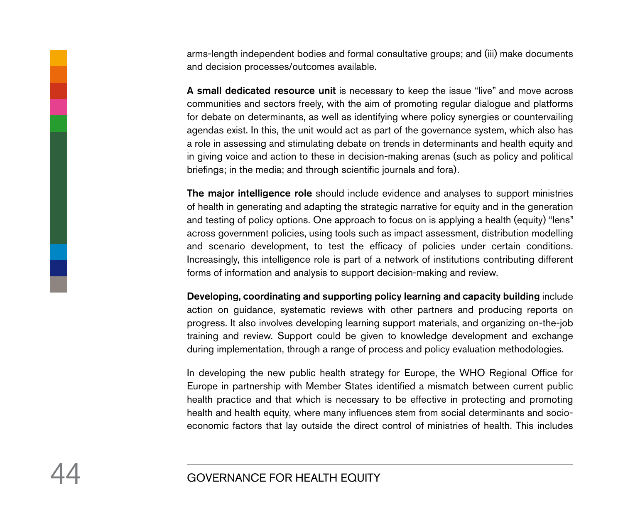arms-length independent bodies and formal consultative groups; and (iii) make documents and decision processes/outcomes available.

A small dedicated resource unit is necessary to keep the issue "live" and move across communities and sectors freely, with the aim of promoting regular dialogue and platforms for debate on determinants, as well as identifying where policy synergies or countervailing agendas exist. In this, the unit would act as part of the governance system, which also has a role in assessing and stimulating debate on trends in determinants and health equity and in giving voice and action to these in decision-making arenas (such as policy and political briefings; in the media; and through scientific journals and fora).

The major intelligence role should include evidence and analyses to support ministries of health in generating and adapting the strategic narrative for equity and in the generation and testing of policy options. One approach to focus on is applying a health (equity) "lens" across government policies, using tools such as impact assessment, distribution modelling and scenario development, to test the efficacy of policies under certain conditions. Increasingly, this intelligence role is part of a network of institutions contributing different forms of information and analysis to support decision-making and review.

Developing, coordinating and supporting policy learning and capacity building include action on guidance, systematic reviews with other partners and producing reports on progress. It also involves developing learning support materials, and organizing on-the-job training and review. Support could be given to knowledge development and exchange during implementation, through a range of process and policy evaluation methodologies.

In developing the new public health strategy for Europe, the WHO Regional Office for Europe in partnership with Member States identified a mismatch between current public health practice and that which is necessary to be effective in protecting and promoting health and health equity, where many influences stem from social determinants and socioeconomic factors that lay outside the direct control of ministries of health. This includes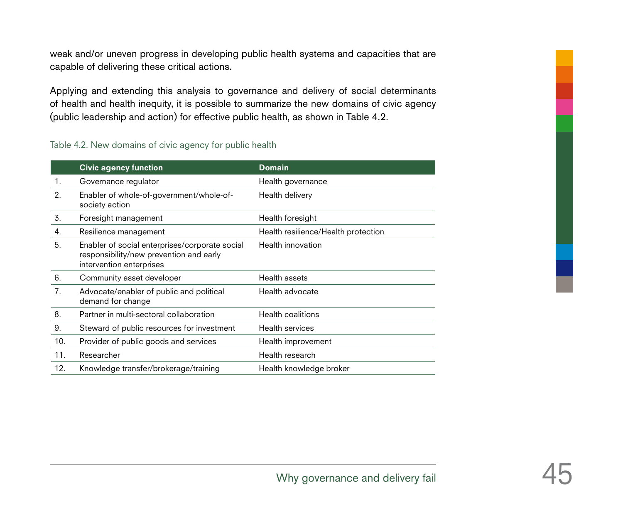weak and/or uneven progress in developing public health systems and capacities that are capable of delivering these critical actions.

Applying and extending this analysis to governance and delivery of social determinants of health and health inequity, it is possible to summarize the new domains of civic agency (public leadership and action) for effective public health, as shown in Table 4.2.

Table 4.2. New domains of civic agency for public health

|     | <b>Civic agency function</b>                                                                                          | <b>Domain</b>                       |
|-----|-----------------------------------------------------------------------------------------------------------------------|-------------------------------------|
| 1.  | Governance regulator                                                                                                  | Health governance                   |
| 2.  | Enabler of whole-of-government/whole-of-<br>society action                                                            | Health delivery                     |
| 3.  | Foresight management                                                                                                  | Health foresight                    |
| 4.  | Resilience management                                                                                                 | Health resilience/Health protection |
| 5.  | Enabler of social enterprises/corporate social<br>responsibility/new prevention and early<br>intervention enterprises | Health innovation                   |
| 6.  | Community asset developer                                                                                             | Health assets                       |
| 7.  | Advocate/enabler of public and political<br>demand for change                                                         | Health advocate                     |
| 8.  | Partner in multi-sectoral collaboration                                                                               | Health coalitions                   |
| 9.  | Steward of public resources for investment                                                                            | <b>Health services</b>              |
| 10. | Provider of public goods and services                                                                                 | Health improvement                  |
| 11. | Researcher                                                                                                            | Health research                     |
| 12. | Knowledge transfer/brokerage/training                                                                                 | Health knowledge broker             |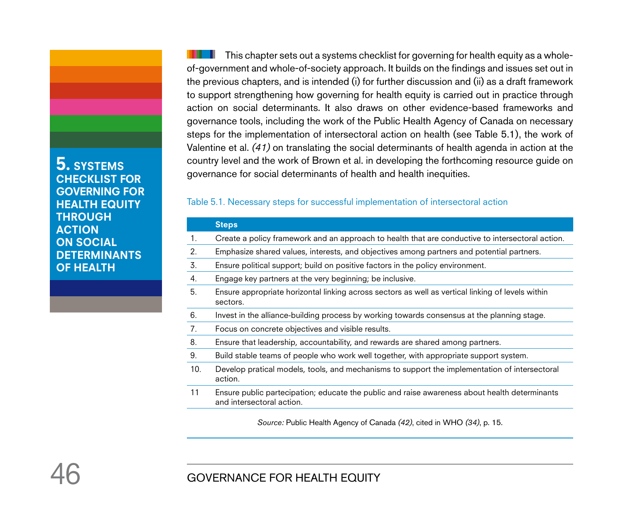This chapter sets out a systems checklist for governing for health equity as a wholeof-government and whole-of-society approach. It builds on the findings and issues set out in the previous chapters, and is intended (i) for further discussion and (ii) as a draft framework to support strengthening how governing for health equity is carried out in practice through action on social determinants. It also draws on other evidence-based frameworks and governance tools, including the work of the Public Health Agency of Canada on necessary steps for the implementation of intersectoral action on health (see Table 5.1), the work of Valentine et al. *(41)* on translating the social determinants of health agenda in action at the country level and the work of Brown et al. in developing the forthcoming resource guide on governance for social determinants of health and health inequities.

### Table 5.1. Necessary steps for successful implementation of intersectoral action

|     | <b>Steps</b>                                                                                                               |
|-----|----------------------------------------------------------------------------------------------------------------------------|
| 1.  | Create a policy framework and an approach to health that are conductive to intersectoral action.                           |
| 2.  | Emphasize shared values, interests, and objectives among partners and potential partners.                                  |
| 3.  | Ensure political support; build on positive factors in the policy environment.                                             |
| 4.  | Engage key partners at the very beginning; be inclusive.                                                                   |
| 5.  | Ensure appropriate horizontal linking across sectors as well as vertical linking of levels within<br>sectors.              |
| 6.  | Invest in the alliance-building process by working towards consensus at the planning stage.                                |
| 7.  | Focus on concrete objectives and visible results.                                                                          |
| 8.  | Ensure that leadership, accountability, and rewards are shared among partners.                                             |
| 9.  | Build stable teams of people who work well together, with appropriate support system.                                      |
| 10. | Develop pratical models, tools, and mechanisms to support the implementation of intersectoral<br>action.                   |
| 11  | Ensure public partecipation; educate the public and raise awareness about health determinants<br>and intersectoral action. |

*Source:* Public Health Agency of Canada *(42)*, cited in WHO *(34)*, p. 15.

5. Systems checklist for governing for health equity **THROUGH ACTION** on social **DETERMINANTS** of health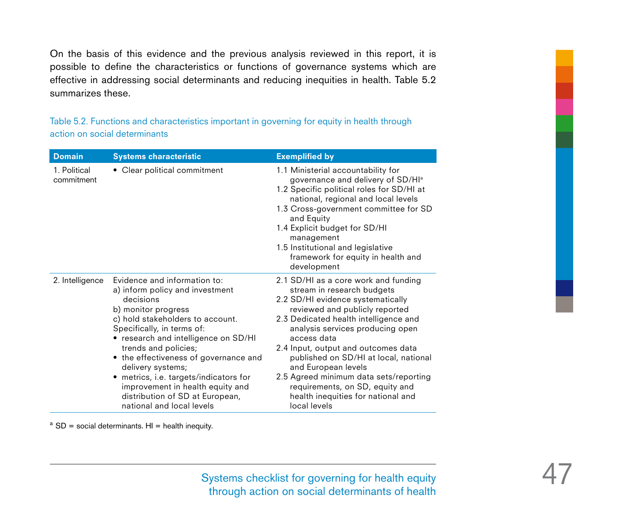On the basis of this evidence and the previous analysis reviewed in this report, it is possible to define the characteristics or functions of governance systems which are effective in addressing social determinants and reducing inequities in health. Table 5.2 summarizes these.

Table 5.2. Functions and characteristics important in governing for equity in health through action on social determinants

| <b>Domain</b>              | <b>Systems characteristic</b>                                                                                                                                                                                                                                                                                                                                                                                                                   | <b>Exemplified by</b>                                                                                                                                                                                                                                                                                                                                                                                                                                                           |
|----------------------------|-------------------------------------------------------------------------------------------------------------------------------------------------------------------------------------------------------------------------------------------------------------------------------------------------------------------------------------------------------------------------------------------------------------------------------------------------|---------------------------------------------------------------------------------------------------------------------------------------------------------------------------------------------------------------------------------------------------------------------------------------------------------------------------------------------------------------------------------------------------------------------------------------------------------------------------------|
| 1. Political<br>commitment | • Clear political commitment                                                                                                                                                                                                                                                                                                                                                                                                                    | 1.1 Ministerial accountability for<br>governance and delivery of SD/HI <sup>a</sup><br>1.2 Specific political roles for SD/HI at<br>national, regional and local levels<br>1.3 Cross-government committee for SD<br>and Equity<br>1.4 Explicit budget for SD/HI<br>management<br>1.5 Institutional and legislative<br>framework for equity in health and<br>development                                                                                                         |
| 2. Intelligence            | Evidence and information to:<br>a) inform policy and investment<br>decisions<br>b) monitor progress<br>c) hold stakeholders to account.<br>Specifically, in terms of:<br>• research and intelligence on SD/HI<br>trends and policies;<br>• the effectiveness of governance and<br>delivery systems;<br>metrics, i.e. targets/indicators for<br>improvement in health equity and<br>distribution of SD at European,<br>national and local levels | 2.1 SD/HI as a core work and funding<br>stream in research budgets<br>2.2 SD/HI evidence systematically<br>reviewed and publicly reported<br>2.3 Dedicated health intelligence and<br>analysis services producing open<br>access data<br>2.4 Input, output and outcomes data<br>published on SD/HI at local, national<br>and European levels<br>2.5 Agreed minimum data sets/reporting<br>requirements, on SD, equity and<br>health inequities for national and<br>local levels |

 $a$  SD = social determinants. HI = health inequity.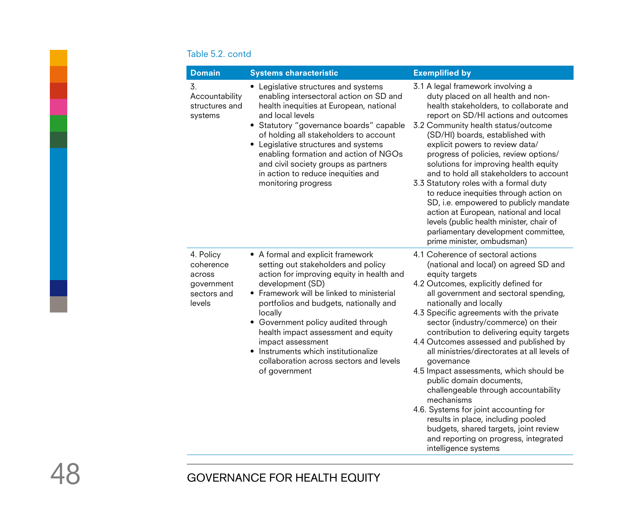## Table 5.2. contd

| <b>Domain</b>                                                           | <b>Systems characteristic</b>                                                                                                                                                                                                                                                                                                                                                                                                                      | <b>Exemplified by</b>                                                                                                                                                                                                                                                                                                                                                                                                                                                                                                                                                                                                                                                                                                                                                 |
|-------------------------------------------------------------------------|----------------------------------------------------------------------------------------------------------------------------------------------------------------------------------------------------------------------------------------------------------------------------------------------------------------------------------------------------------------------------------------------------------------------------------------------------|-----------------------------------------------------------------------------------------------------------------------------------------------------------------------------------------------------------------------------------------------------------------------------------------------------------------------------------------------------------------------------------------------------------------------------------------------------------------------------------------------------------------------------------------------------------------------------------------------------------------------------------------------------------------------------------------------------------------------------------------------------------------------|
| 3.<br>Accountability<br>structures and<br>systems                       | • Legislative structures and systems<br>enabling intersectoral action on SD and<br>health inequities at European, national<br>and local levels<br>• Statutory "governance boards" capable<br>of holding all stakeholders to account<br>• Legislative structures and systems<br>enabling formation and action of NGOs<br>and civil society groups as partners<br>in action to reduce inequities and<br>monitoring progress                          | 3.1 A legal framework involving a<br>duty placed on all health and non-<br>health stakeholders, to collaborate and<br>report on SD/HI actions and outcomes<br>3.2 Community health status/outcome<br>(SD/HI) boards, established with<br>explicit powers to review data/<br>progress of policies, review options/<br>solutions for improving health equity<br>and to hold all stakeholders to account<br>3.3 Statutory roles with a formal duty<br>to reduce inequities through action on<br>SD, i.e. empowered to publicly mandate<br>action at European, national and local<br>levels (public health minister, chair of<br>parliamentary development committee,<br>prime minister, ombudsman)                                                                       |
| 4. Policy<br>coherence<br>across<br>government<br>sectors and<br>levels | • A formal and explicit framework<br>setting out stakeholders and policy<br>action for improving equity in health and<br>development (SD)<br>• Framework will be linked to ministerial<br>portfolios and budgets, nationally and<br>locally<br>• Government policy audited through<br>health impact assessment and equity<br>impact assessment<br>• Instruments which institutionalize<br>collaboration across sectors and levels<br>of government | 4.1 Coherence of sectoral actions<br>(national and local) on agreed SD and<br>equity targets<br>4.2 Outcomes, explicitly defined for<br>all government and sectoral spending,<br>nationally and locally<br>4.3 Specific agreements with the private<br>sector (industry/commerce) on their<br>contribution to delivering equity targets<br>4.4 Outcomes assessed and published by<br>all ministries/directorates at all levels of<br>qovernance<br>4.5 Impact assessments, which should be<br>public domain documents,<br>challengeable through accountability<br>mechanisms<br>4.6. Systems for joint accounting for<br>results in place, including pooled<br>budgets, shared targets, joint review<br>and reporting on progress, integrated<br>intelligence systems |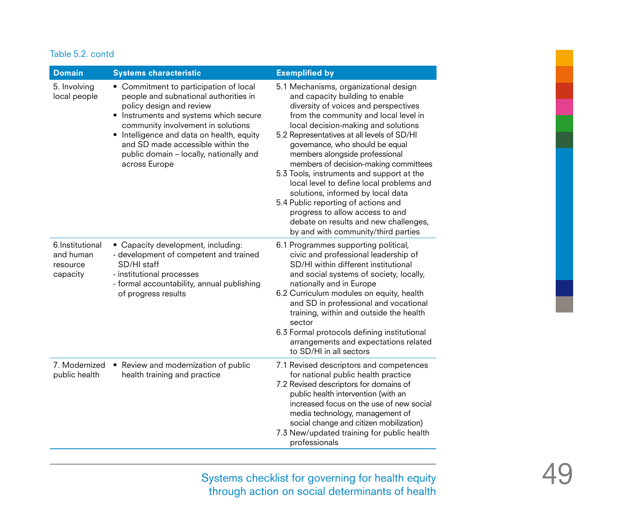## Table 5.2. contd

| <b>Domain</b>                                        | <b>Systems characteristic</b>                                                                                                                                                                                                                                                                                                           | <b>Exemplified by</b>                                                                                                                                                                                                                                                                                                                                                                                                                                                                                                                                                                                                                                |
|------------------------------------------------------|-----------------------------------------------------------------------------------------------------------------------------------------------------------------------------------------------------------------------------------------------------------------------------------------------------------------------------------------|------------------------------------------------------------------------------------------------------------------------------------------------------------------------------------------------------------------------------------------------------------------------------------------------------------------------------------------------------------------------------------------------------------------------------------------------------------------------------------------------------------------------------------------------------------------------------------------------------------------------------------------------------|
| 5. Involving<br>local people                         | • Commitment to participation of local<br>people and subnational authorities in<br>policy design and review<br>• Instruments and systems which secure<br>community involvement in solutions<br>Intelligence and data on health, equity<br>and SD made accessible within the<br>public domain - locally, nationally and<br>across Europe | 5.1 Mechanisms, organizational design<br>and capacity building to enable<br>diversity of voices and perspectives<br>from the community and local level in<br>local decision-making and solutions<br>5.2 Representatives at all levels of SD/HI<br>governance, who should be equal<br>members alongside professional<br>members of decision-making committees<br>5.3 Tools, instruments and support at the<br>local level to define local problems and<br>solutions, informed by local data<br>5.4 Public reporting of actions and<br>progress to allow access to and<br>debate on results and new challenges,<br>by and with community/third parties |
| 6.Institutional<br>and human<br>resource<br>capacity | • Capacity development, including:<br>- development of competent and trained<br>SD/HI staff<br>- institutional processes<br>- formal accountability, annual publishing<br>of progress results                                                                                                                                           | 6.1 Programmes supporting political,<br>civic and professional leadership of<br>SD/HI within different institutional<br>and social systems of society, locally,<br>nationally and in Europe<br>6.2 Curriculum modules on equity, health<br>and SD in professional and vocational<br>training, within and outside the health<br>sector<br>6.3 Formal protocols defining institutional<br>arrangements and expectations related<br>to SD/HI in all sectors                                                                                                                                                                                             |
| 7. Modernized<br>public health                       | • Review and modernization of public<br>health training and practice                                                                                                                                                                                                                                                                    | 7.1 Revised descriptors and competences<br>for national public health practice<br>7.2 Revised descriptors for domains of<br>public health intervention (with an<br>increased focus on the use of new social<br>media technology, management of<br>social change and citizen mobilization)<br>7.3 New/updated training for public health<br>professionals                                                                                                                                                                                                                                                                                             |

Systems checklist for governing for health equity 49 through action on social determinants of health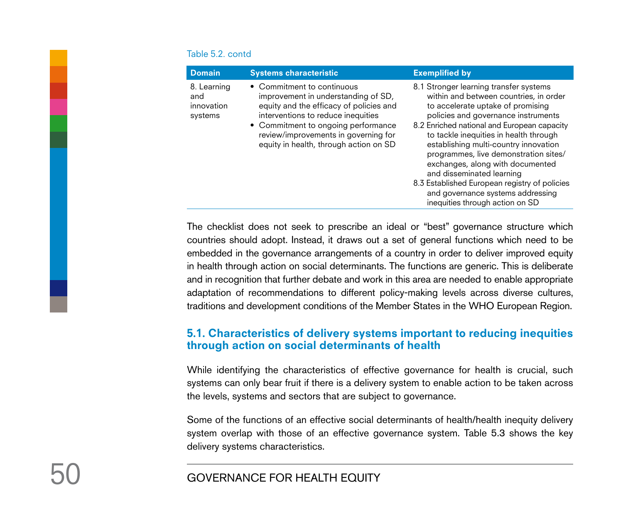## Table 5.2. contd

| <b>Domain</b>                               | <b>Systems characteristic</b>                                                                                                                                                                                                                                               | <b>Exemplified by</b>                                                                                                                                                                                                                                                                                                                                                                                                                                                                                                             |
|---------------------------------------------|-----------------------------------------------------------------------------------------------------------------------------------------------------------------------------------------------------------------------------------------------------------------------------|-----------------------------------------------------------------------------------------------------------------------------------------------------------------------------------------------------------------------------------------------------------------------------------------------------------------------------------------------------------------------------------------------------------------------------------------------------------------------------------------------------------------------------------|
| 8. Learning<br>and<br>innovation<br>systems | • Commitment to continuous<br>improvement in understanding of SD,<br>equity and the efficacy of policies and<br>interventions to reduce inequities<br>• Commitment to ongoing performance<br>review/improvements in governing for<br>equity in health, through action on SD | 8.1 Stronger learning transfer systems<br>within and between countries, in order<br>to accelerate uptake of promising<br>policies and governance instruments<br>8.2 Enriched national and European capacity<br>to tackle inequities in health through<br>establishing multi-country innovation<br>programmes, live demonstration sites/<br>exchanges, along with documented<br>and disseminated learning<br>8.3 Established European registry of policies<br>and governance systems addressing<br>inequities through action on SD |

The checklist does not seek to prescribe an ideal or "best" governance structure which countries should adopt. Instead, it draws out a set of general functions which need to be embedded in the governance arrangements of a country in order to deliver improved equity in health through action on social determinants. The functions are generic. This is deliberate and in recognition that further debate and work in this area are needed to enable appropriate adaptation of recommendations to different policy-making levels across diverse cultures, traditions and development conditions of the Member States in the WHO European Region.

## 5.1. Characteristics of delivery systems important to reducing inequities through action on social determinants of health

While identifying the characteristics of effective governance for health is crucial, such systems can only bear fruit if there is a delivery system to enable action to be taken across the levels, systems and sectors that are subject to governance.

Some of the functions of an effective social determinants of health/health inequity delivery system overlap with those of an effective governance system. Table 5.3 shows the key delivery systems characteristics.

# 50 GOVERNANCE FOR HEALTH EQUITY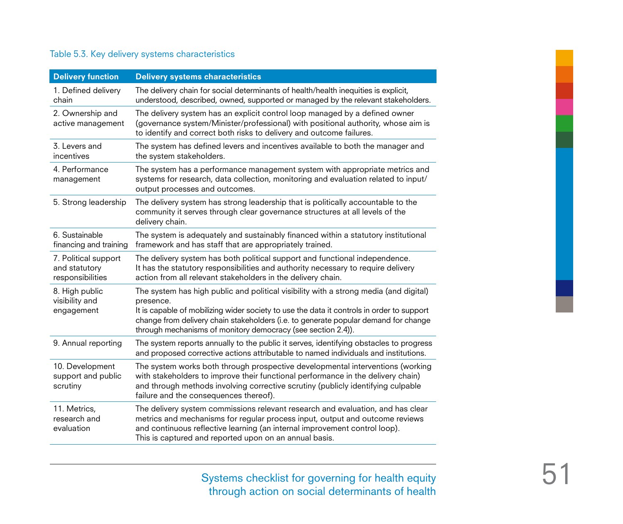## Table 5.3. Key delivery systems characteristics

| <b>Delivery function</b>                                  | <b>Delivery systems characteristics</b>                                                                                                                                                                                                                                                                                                                |
|-----------------------------------------------------------|--------------------------------------------------------------------------------------------------------------------------------------------------------------------------------------------------------------------------------------------------------------------------------------------------------------------------------------------------------|
| 1. Defined delivery<br>chain                              | The delivery chain for social determinants of health/health inequities is explicit,<br>understood, described, owned, supported or managed by the relevant stakeholders.                                                                                                                                                                                |
| 2. Ownership and<br>active management                     | The delivery system has an explicit control loop managed by a defined owner<br>(governance system/Minister/professional) with positional authority, whose aim is<br>to identify and correct both risks to delivery and outcome failures.                                                                                                               |
| 3. Levers and<br>incentives                               | The system has defined levers and incentives available to both the manager and<br>the system stakeholders.                                                                                                                                                                                                                                             |
| 4. Performance<br>management                              | The system has a performance management system with appropriate metrics and<br>systems for research, data collection, monitoring and evaluation related to input/<br>output processes and outcomes.                                                                                                                                                    |
| 5. Strong leadership                                      | The delivery system has strong leadership that is politically accountable to the<br>community it serves through clear governance structures at all levels of the<br>delivery chain.                                                                                                                                                                    |
| 6. Sustainable<br>financing and training                  | The system is adequately and sustainably financed within a statutory institutional<br>framework and has staff that are appropriately trained.                                                                                                                                                                                                          |
| 7. Political support<br>and statutory<br>responsibilities | The delivery system has both political support and functional independence.<br>It has the statutory responsibilities and authority necessary to require delivery<br>action from all relevant stakeholders in the delivery chain.                                                                                                                       |
| 8. High public<br>visibility and<br>engagement            | The system has high public and political visibility with a strong media (and digital)<br>presence.<br>It is capable of mobilizing wider society to use the data it controls in order to support<br>change from delivery chain stakeholders (i.e. to generate popular demand for change<br>through mechanisms of monitory democracy (see section 2.4)). |
| 9. Annual reporting                                       | The system reports annually to the public it serves, identifying obstacles to progress<br>and proposed corrective actions attributable to named individuals and institutions.                                                                                                                                                                          |
| 10. Development<br>support and public<br>scrutiny         | The system works both through prospective developmental interventions (working<br>with stakeholders to improve their functional performance in the delivery chain)<br>and through methods involving corrective scrutiny (publicly identifying culpable<br>failure and the consequences thereof).                                                       |
| 11. Metrics,<br>research and<br>evaluation                | The delivery system commissions relevant research and evaluation, and has clear<br>metrics and mechanisms for regular process input, output and outcome reviews<br>and continuous reflective learning (an internal improvement control loop).<br>This is captured and reported upon on an annual basis.                                                |
|                                                           |                                                                                                                                                                                                                                                                                                                                                        |

Systems checklist for governing for health equity 51 through action on social determinants of health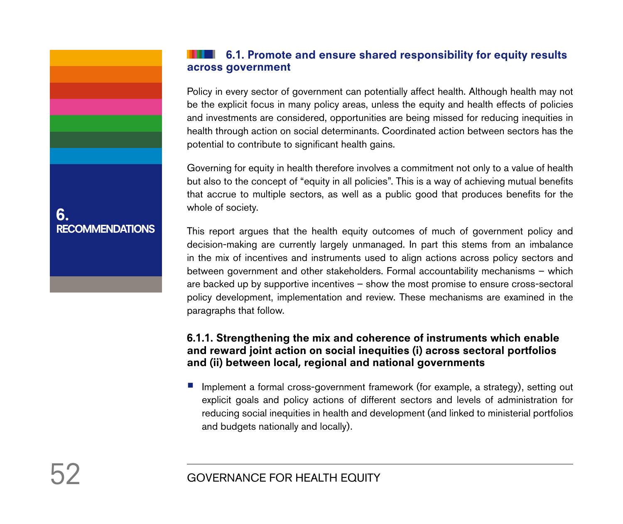#### 6.1. Promote and ensure shared responsibility for equity results . . . . across government

Policy in every sector of government can potentially affect health. Although health may not be the explicit focus in many policy areas, unless the equity and health effects of policies and investments are considered, opportunities are being missed for reducing inequities in health through action on social determinants. Coordinated action between sectors has the potential to contribute to significant health gains.

Governing for equity in health therefore involves a commitment not only to a value of health but also to the concept of "equity in all policies". This is a way of achieving mutual benefits that accrue to multiple sectors, as well as a public good that produces benefits for the whole of society.

This report argues that the health equity outcomes of much of government policy and decision-making are currently largely unmanaged. In part this stems from an imbalance in the mix of incentives and instruments used to align actions across policy sectors and between government and other stakeholders. Formal accountability mechanisms – which are backed up by supportive incentives – show the most promise to ensure cross-sectoral policy development, implementation and review. These mechanisms are examined in the paragraphs that follow.

## 6.1.1. Strengthening the mix and coherence of instruments which enable and reward joint action on social inequities (i) across sectoral portfolios and (ii) between local, regional and national governments

Implement a formal cross-government framework (for example, a strategy), setting out explicit goals and policy actions of different sectors and levels of administration for reducing social inequities in health and development (and linked to ministerial portfolios and budgets nationally and locally).

**RECOMMENDATIONS** 

6.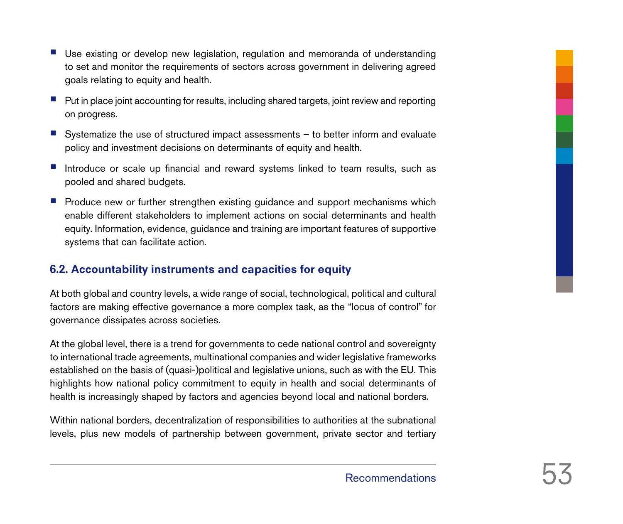- Use existing or develop new legislation, regulation and memoranda of understanding to set and monitor the requirements of sectors across government in delivering agreed goals relating to equity and health.
- Put in place joint accounting for results, including shared targets, joint review and reporting on progress.
- $\blacksquare$  Systematize the use of structured impact assessments to better inform and evaluate policy and investment decisions on determinants of equity and health.
- **Introduce or scale up financial and reward systems linked to team results, such as** pooled and shared budgets.
- $\blacksquare$  Produce new or further strengthen existing guidance and support mechanisms which enable different stakeholders to implement actions on social determinants and health equity. Information, evidence, guidance and training are important features of supportive systems that can facilitate action.

# 6.2. Accountability instruments and capacities for equity

At both global and country levels, a wide range of social, technological, political and cultural factors are making effective governance a more complex task, as the "locus of control" for governance dissipates across societies.

At the global level, there is a trend for governments to cede national control and sovereignty to international trade agreements, multinational companies and wider legislative frameworks established on the basis of (quasi-)political and legislative unions, such as with the EU. This highlights how national policy commitment to equity in health and social determinants of health is increasingly shaped by factors and agencies beyond local and national borders.

Within national borders, decentralization of responsibilities to authorities at the subnational levels, plus new models of partnership between government, private sector and tertiary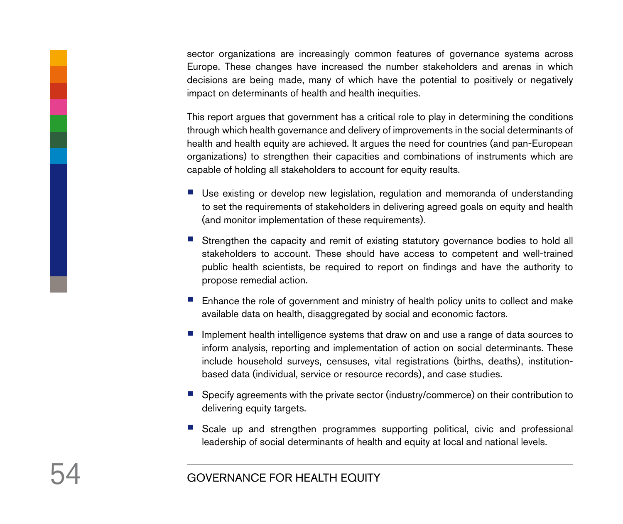sector organizations are increasingly common features of governance systems across Europe. These changes have increased the number stakeholders and arenas in which decisions are being made, many of which have the potential to positively or negatively impact on determinants of health and health inequities.

This report argues that government has a critical role to play in determining the conditions through which health governance and delivery of improvements in the social determinants of health and health equity are achieved. It argues the need for countries (and pan-European organizations) to strengthen their capacities and combinations of instruments which are capable of holding all stakeholders to account for equity results.

- Use existing or develop new legislation, regulation and memoranda of understanding to set the requirements of stakeholders in delivering agreed goals on equity and health (and monitor implementation of these requirements).
- **•** Strengthen the capacity and remit of existing statutory governance bodies to hold all stakeholders to account. These should have access to competent and well-trained public health scientists, be required to report on findings and have the authority to propose remedial action.
- $\blacksquare$  Enhance the role of government and ministry of health policy units to collect and make available data on health, disaggregated by social and economic factors.
- Implement health intelligence systems that draw on and use a range of data sources to inform analysis, reporting and implementation of action on social determinants. These include household surveys, censuses, vital registrations (births, deaths), institutionbased data (individual, service or resource records), and case studies.
- $\blacksquare$  Specify agreements with the private sector (industry/commerce) on their contribution to delivering equity targets.
- Scale up and strengthen programmes supporting political, civic and professional leadership of social determinants of health and equity at local and national levels.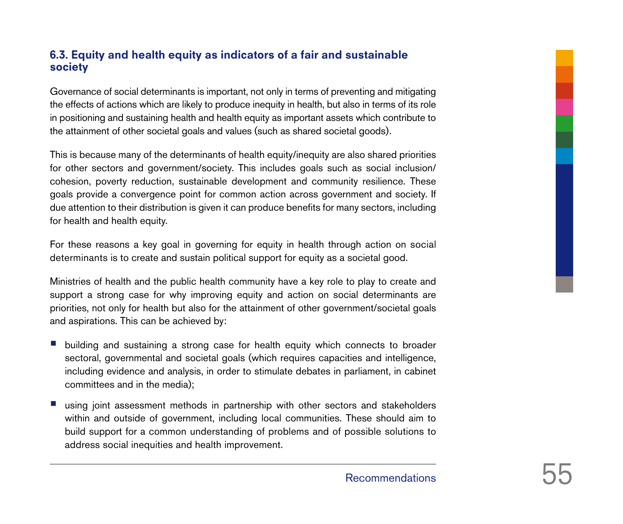# 6.3. Equity and health equity as indicators of a fair and sustainable society

Governance of social determinants is important, not only in terms of preventing and mitigating the effects of actions which are likely to produce inequity in health, but also in terms of its role in positioning and sustaining health and health equity as important assets which contribute to the attainment of other societal goals and values (such as shared societal goods).

This is because many of the determinants of health equity/inequity are also shared priorities for other sectors and government/society. This includes goals such as social inclusion/ cohesion, poverty reduction, sustainable development and community resilience. These goals provide a convergence point for common action across government and society. If due attention to their distribution is given it can produce benefits for many sectors, including for health and health equity.

For these reasons a key goal in governing for equity in health through action on social determinants is to create and sustain political support for equity as a societal good.

Ministries of health and the public health community have a key role to play to create and support a strong case for why improving equity and action on social determinants are priorities, not only for health but also for the attainment of other government/societal goals and aspirations. This can be achieved by:

- building and sustaining a strong case for health equity which connects to broader sectoral, governmental and societal goals (which requires capacities and intelligence, including evidence and analysis, in order to stimulate debates in parliament, in cabinet committees and in the media);
- using joint assessment methods in partnership with other sectors and stakeholders within and outside of government, including local communities. These should aim to build support for a common understanding of problems and of possible solutions to address social inequities and health improvement.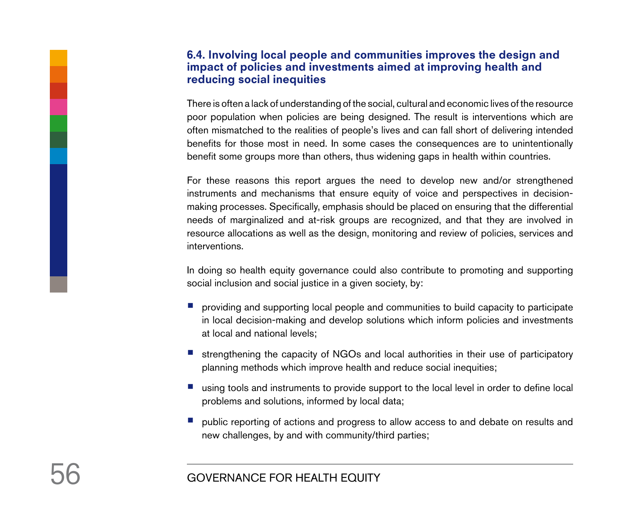## 6.4. Involving local people and communities improves the design and impact of policies and investments aimed at improving health and reducing social inequities

There is often a lack of understanding of the social, cultural and economic lives of the resource poor population when policies are being designed. The result is interventions which are often mismatched to the realities of people's lives and can fall short of delivering intended benefits for those most in need. In some cases the consequences are to unintentionally benefit some groups more than others, thus widening gaps in health within countries.

For these reasons this report argues the need to develop new and/or strengthened instruments and mechanisms that ensure equity of voice and perspectives in decisionmaking processes. Specifically, emphasis should be placed on ensuring that the differential needs of marginalized and at-risk groups are recognized, and that they are involved in resource allocations as well as the design, monitoring and review of policies, services and interventions.

In doing so health equity governance could also contribute to promoting and supporting social inclusion and social justice in a given society, by:

- providing and supporting local people and communities to build capacity to participate in local decision-making and develop solutions which inform policies and investments at local and national levels;
- **E** strengthening the capacity of NGOs and local authorities in their use of participatory planning methods which improve health and reduce social inequities;
- $\blacksquare$  using tools and instruments to provide support to the local level in order to define local problems and solutions, informed by local data;
- public reporting of actions and progress to allow access to and debate on results and new challenges, by and with community/third parties;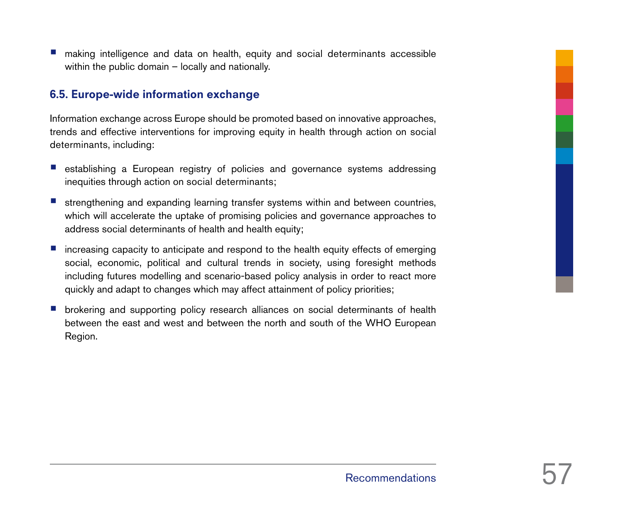making intelligence and data on health, equity and social determinants accessible within the public domain – locally and nationally.

# 6.5. Europe-wide information exchange

Information exchange across Europe should be promoted based on innovative approaches, trends and effective interventions for improving equity in health through action on social determinants, including:

- **•** establishing a European registry of policies and governance systems addressing inequities through action on social determinants;
- $\blacksquare$  strengthening and expanding learning transfer systems within and between countries, which will accelerate the uptake of promising policies and governance approaches to address social determinants of health and health equity;
- increasing capacity to anticipate and respond to the health equity effects of emerging social, economic, political and cultural trends in society, using foresight methods including futures modelling and scenario-based policy analysis in order to react more quickly and adapt to changes which may affect attainment of policy priorities;
- brokering and supporting policy research alliances on social determinants of health between the east and west and between the north and south of the WHO European Region.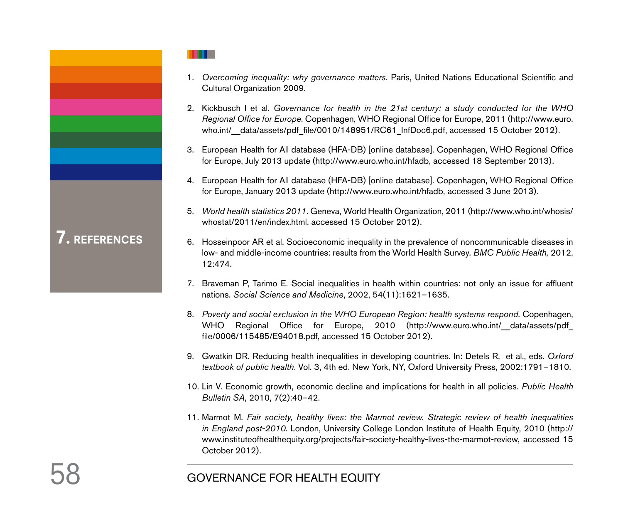- 1. *Overcoming inequality: why governance matters*. Paris, United Nations Educational Scientific and Cultural Organization 2009.
- 2. Kickbusch I et al. *Governance for health in the 21st century: a study conducted for the WHO Regional Office for Europe*. Copenhagen, WHO Regional Office for Europe, 2011 ([http://www.euro.](http://www.euro.who.int/__data/assets/pdf_file/0010/148951/RC61_InfDoc6.pdf) who.int/ data/assets/pdf\_file/0010/148951/RC61\_InfDoc6.pdf, accessed 15 October 2012).
- 3. European Health for All database (HFA-DB) [online database]. Copenhagen, WHO Regional Office for Europe, July 2013 update ([http://www.euro.who.int/hfadb,](http://www.euro.who.int/hfadb) accessed 18 September 2013).
- 4. European Health for All database (HFA-DB) [online database]. Copenhagen, WHO Regional Office for Europe, January 2013 update [\(http://www.euro.who.int/hfadb](http://www.euro.who.int/hfadb), accessed 3 June 2013).
- 5. *World health statistics 2011*. Geneva, World Health Organization, 2011 [\(http://www.who.int/whosis/](http://www.who.int/whosis/whostat/2011/en/index.html) [whostat/2011/en/index.html](http://www.who.int/whosis/whostat/2011/en/index.html), accessed 15 October 2012).
- 6. Hosseinpoor AR et al. Socioeconomic inequality in the prevalence of noncommunicable diseases in low- and middle-income countries: results from the World Health Survey. *BMC Public Health,* 2012, 12:474.
- 7. Braveman P, Tarimo E. Social inequalities in health within countries: not only an issue for affluent nations. *Social Science and Medicine*, 2002, 54(11):1621–1635.
- 8. *Poverty and social exclusion in the WHO European Region: health systems respond*. Copenhagen, WHO Regional Office for Europe, 2010 (http://www.euro.who.int/ data/assets/pdf [file/0006/115485/E94018.pdf](http://www.euro.who.int/__data/assets/pdf_file/0006/115485/E94018.pdf), accessed 15 October 2012).
- 9. Gwatkin DR. Reducing health inequalities in developing countries. In: Detels R, et al., eds. *Oxford textbook of public health*. Vol. 3, 4th ed. New York, NY, Oxford University Press, 2002:1791–1810.
- 10. Lin V. Economic growth, economic decline and implications for health in all policies. *Public Health Bulletin SA*, 2010, 7(2):40–42.
- 11. Marmot M. *Fair society, healthy lives: the Marmot review. Strategic review of health inequalities in England post-2010*. London, University College London Institute of Health Equity, 2010 ([http://](http://www.instituteofhealthequity.org/projects/fair-society-healthy-lives-the-marmot-review) [www.instituteofhealthequity.org/projects/fair-society-healthy-lives-the-marmot-review,](http://www.instituteofhealthequity.org/projects/fair-society-healthy-lives-the-marmot-review) accessed 15 October 2012).

# 58 GOVERNANCE FOR HEALTH EQUITY

7. References

. .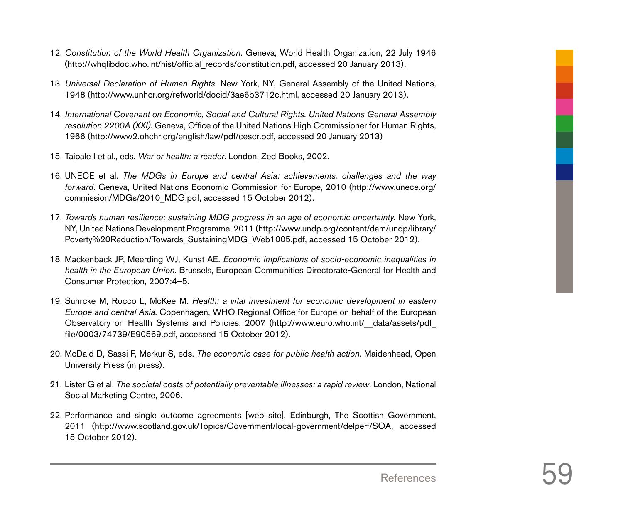- 12. *Constitution of the World Health Organization*. Geneva, World Health Organization, 22 July 1946 (http://whqlibdoc.who.int/hist/official records/constitution.pdf, accessed 20 January 2013).
- 13. *Universal Declaration of Human Rights*. New York, NY, General Assembly of the United Nations, 1948 ([http://www.unhcr.org/refworld/docid/3ae6b3712c.html,](http://www.unhcr.org/refworld/docid/3ae6b3712c.html) accessed 20 January 2013).
- 14. *International Covenant on Economic, Social and Cultural Rights. United Nations General Assembly resolution 2200A (XXI)*. Geneva, Office of the United Nations High Commissioner for Human Rights, 1966 (<http://www2.ohchr.org/english/law/pdf/cescr.pdf>, accessed 20 January 2013)
- 15. Taipale I et al., eds. *War or health: a reader*. London, Zed Books, 2002.
- 16. UNECE et al. *The MDGs in Europe and central Asia: achievements, challenges and the way forward*. Geneva, United Nations Economic Commission for Europe, 2010 [\(http://www.unece.org/](http://www.unece.org/commission/MDGs/2010_MDG.pdf) [commission/MDGs/2010\\_MDG.pdf,](http://www.unece.org/commission/MDGs/2010_MDG.pdf) accessed 15 October 2012).
- 17. *Towards human resilience: sustaining MDG progress in an age of economic uncertainty.* New York, NY, United Nations Development Programme, 2011 ([http://www.undp.org/content/dam/undp/library/](http://www.undp.org/content/dam/undp/library/Poverty%20Reduction/Towards_SustainingMDG_Web1005.pdf) [Poverty%20Reduction/Towards\\_SustainingMDG\\_Web1005.pdf,](http://www.undp.org/content/dam/undp/library/Poverty%20Reduction/Towards_SustainingMDG_Web1005.pdf) accessed 15 October 2012).
- 18. Mackenback JP, Meerding WJ, Kunst AE. *Economic implications of socio-economic inequalities in health in the European Union*. Brussels, European Communities Directorate-General for Health and Consumer Protection, 2007:4–5.
- 19. Suhrcke M, Rocco L, McKee M. *Health: a vital investment for economic development in eastern Europe and central Asia*. Copenhagen, WHO Regional Office for Europe on behalf of the European Observatory on Health Systems and Policies, 2007 ([http://www.euro.who.int/\\_\\_data/assets/pdf\\_](http://www.euro.who.int/__data/assets/pdf_file/0003/74739/E90569.pdf) [file/0003/74739/E90569.pdf,](http://www.euro.who.int/__data/assets/pdf_file/0003/74739/E90569.pdf) accessed 15 October 2012).
- 20. McDaid D, Sassi F, Merkur S, eds. *The economic case for public health action*. Maidenhead, Open University Press (in press).
- 21. Lister G et al. *The societal costs of potentially preventable illnesses: a rapid review*. London, National Social Marketing Centre, 2006.
- 22. Performance and single outcome agreements [web site]. Edinburgh, The Scottish Government, 2011 (<http://www.scotland.gov.uk/Topics/Government/local-government/delperf/SOA>, accessed 15 October 2012).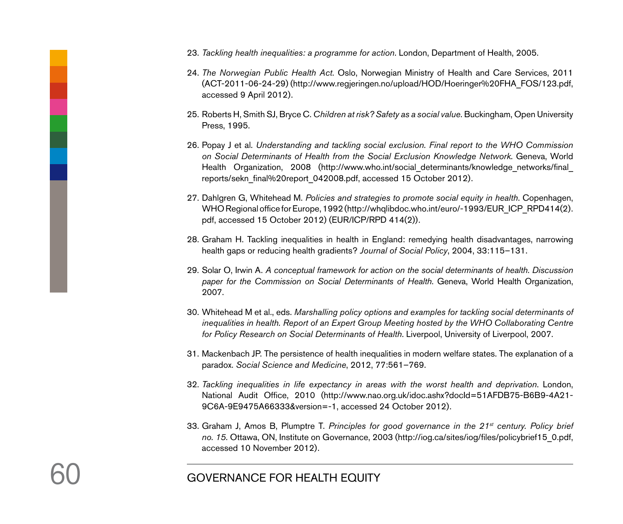- 23. *Tackling health inequalities: a programme for action*. London, Department of Health, 2005.
- 24. *The Norwegian Public Health Act*. Oslo, Norwegian Ministry of Health and Care Services, 2011 (ACT-2011-06-24-29) [\(http://www.regjeringen.no/upload/HOD/Hoeringer%20FHA\\_FOS/123.pdf,](http://www.regjeringen.no/upload/HOD/Hoeringer%20FHA_FOS/123.pdf) accessed 9 April 2012).
- 25. Roberts H, Smith SJ, Bryce C. *Children at risk? Safety as a social value*. Buckingham, Open University Press, 1995.
- 26. Popay J et al. *Understanding and tackling social exclusion. Final report to the WHO Commission on Social Determinants of Health from the Social Exclusion Knowledge Network*. Geneva, World Health Organization, 2008 (http://www.who.int/social determinants/knowledge networks/final [reports/sekn\\_final%20report\\_042008.pdf](http://www.who.int/social_determinants/knowledge_networks/final_reports/sekn_final%20report_042008.pdf,), accessed 15 October 2012).
- 27. Dahlgren G, Whitehead M. *Policies and strategies to promote social equity in health*. Copenhagen, WHO Regional office for Europe, 1992 ([http://whqlibdoc.who.int/euro/-1993/EUR\\_ICP\\_RPD414\(2\).](http://whqlibdoc.who.int/euro/-1993/EUR_ICP_RPD414(2).pdf) [pdf,](http://whqlibdoc.who.int/euro/-1993/EUR_ICP_RPD414(2).pdf) accessed 15 October 2012) (EUR/ICP/RPD 414(2)).
- 28. Graham H. Tackling inequalities in health in England: remedying health disadvantages, narrowing health gaps or reducing health gradients? *Journal of Social Policy*, 2004, 33:115–131.
- 29. Solar O, Irwin A. *A conceptual framework for action on the social determinants of health*. *Discussion paper for the Commission on Social Determinants of Health*. Geneva, World Health Organization, 2007.
- 30. Whitehead M et al., eds. *Marshalling policy options and examples for tackling social determinants of inequalities in health. Report of an Expert Group Meeting hosted by the WHO Collaborating Centre for Policy Research on Social Determinants of Health*. Liverpool, University of Liverpool, 2007.
- 31. Mackenbach JP. The persistence of health inequalities in modern welfare states. The explanation of a paradox. *Social Science and Medicine*, 2012, 77:561–769.
- 32. *Tackling inequalities in life expectancy in areas with the worst health and deprivation*. London, National Audit Office, 2010 [\(http://www.nao.org.uk/idoc.ashx?docId=51AFDB75-B6B9-4A21-](http://www.nao.org.uk/idoc.ashx?docId=51AFDB75-B6B9-4A21-9C6A-9E9475A66333&version=-1) [9C6A-9E9475A66333&version=-1,](http://www.nao.org.uk/idoc.ashx?docId=51AFDB75-B6B9-4A21-9C6A-9E9475A66333&version=-1) accessed 24 October 2012).
- 33. Graham J, Amos B, Plumptre T. *Principles for good governance in the 21st century. Policy brief no. 15*. Ottawa, ON, Institute on Governance, 2003 ([http://iog.ca/sites/iog/files/policybrief15\\_0.pdf,](http://iog.ca/sites/iog/files/policybrief15_0.pdf) accessed 10 November 2012).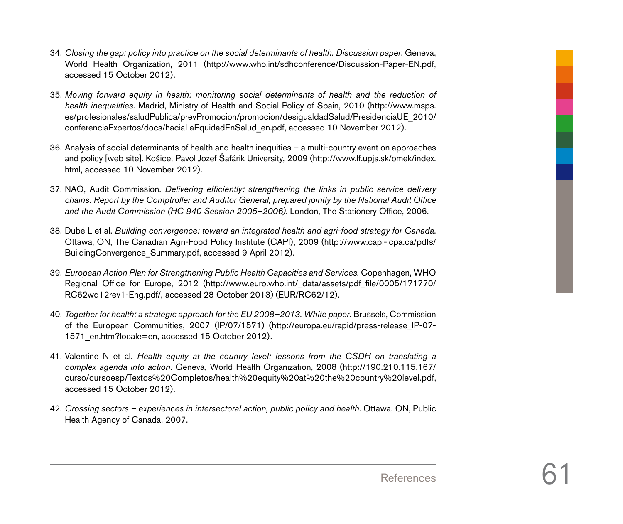- 34. *Closing the gap: policy into practice on the social determinants of health. Discussion paper*. Geneva, World Health Organization, 2011 ([http://www.who.int/sdhconference/Discussion-Paper-EN.pdf,](http://www.who.int/sdhconference/Discussion-Paper-EN.pdf) accessed 15 October 2012).
- 35. *Moving forward equity in health: monitoring social determinants of health and the reduction of health inequalities*. Madrid, Ministry of Health and Social Policy of Spain, 2010 [\(http://www.msps.](http://www.msps.es/profesionales/saludPublica/prevPromocion/promocion/desigualdadSalud/PresidenciaUE_2010/conferenciaExpertos/docs/haciaLaEquidadEnSalud_en.pdf) [es/profesionales/saludPublica/prevPromocion/promocion/desigualdadSalud/PresidenciaUE\\_2010/](http://www.msps.es/profesionales/saludPublica/prevPromocion/promocion/desigualdadSalud/PresidenciaUE_2010/conferenciaExpertos/docs/haciaLaEquidadEnSalud_en.pdf) [conferenciaExpertos/docs/haciaLaEquidadEnSalud\\_en.pdf](http://www.msps.es/profesionales/saludPublica/prevPromocion/promocion/desigualdadSalud/PresidenciaUE_2010/conferenciaExpertos/docs/haciaLaEquidadEnSalud_en.pdf), accessed 10 November 2012).
- 36. Analysis of social determinants of health and health inequities a multi-country event on approaches and policy [web site]. Košice, Pavol Jozef Šafárik University, 2009 ([http://www.lf.upjs.sk/omek/index.](http://www.lf.upjs.sk/omek/index.html) [html,](http://www.lf.upjs.sk/omek/index.html) accessed 10 November 2012).
- 37. NAO, Audit Commission. *Delivering efficiently: strengthening the links in public service delivery chains*. *Report by the Comptroller and Auditor General, prepared jointly by the National Audit Office and the Audit Commission (HC 940 Session 2005–2006)*. London, The Stationery Office, 2006.
- 38. Dubé L et al. *Building convergence: toward an integrated health and agri-food strategy for Canada*. Ottawa, ON, The Canadian Agri-Food Policy Institute (CAPI), 2009 ([http://www.capi-icpa.ca/pdfs/](http://www.capi-icpa.ca/pdfs/BuildingConvergence_Summary.pdf) [BuildingConvergence\\_Summary.pdf,](http://www.capi-icpa.ca/pdfs/BuildingConvergence_Summary.pdf) accessed 9 April 2012).
- 39. *European Action Plan for Strengthening Public Health Capacities and Services.* Copenhagen, WHO Regional Office for Europe, 2012 [\(http://www.euro.who.int/\\_data/assets/pdf\\_file/0005/171770/](http://www.euro.who.int/_data/assets/pdf_file/0005/171770/RC62wd12rev1-Eng.pdf/,) [RC62wd12rev1-Eng.pdf/,](http://www.euro.who.int/_data/assets/pdf_file/0005/171770/RC62wd12rev1-Eng.pdf/,) accessed 28 October 2013) (EUR/RC62/12).
- 40. *Together for health: a strategic approach for the EU 2008–2013. White paper*. Brussels, Commission of the European Communities, 2007 (IP/07/1571) [\(http://europa.eu/rapid/press-release\\_IP-07-](http://europa.eu/rapid/press-release_IP-07-1571_en.htm?locale=en) [1571\\_en.htm?locale=en,](http://europa.eu/rapid/press-release_IP-07-1571_en.htm?locale=en) accessed 15 October 2012).
- 41. Valentine N et al. *Health equity at the country level: lessons from the CSDH on translating a complex agenda into action*. Geneva, World Health Organization, 2008 ([http://190.210.115.167/](http://190.210.115.167/curso/cursoesp/Textos%20Completos/health%20equity%20at%20the%20country%20level.pdf) [curso/cursoesp/Textos%20Completos/health%20equity%20at%20the%20country%20level.pdf](http://190.210.115.167/curso/cursoesp/Textos%20Completos/health%20equity%20at%20the%20country%20level.pdf), accessed 15 October 2012).
- 42. *Crossing sectors experiences in intersectoral action, public policy and health*. Ottawa, ON, Public Health Agency of Canada, 2007.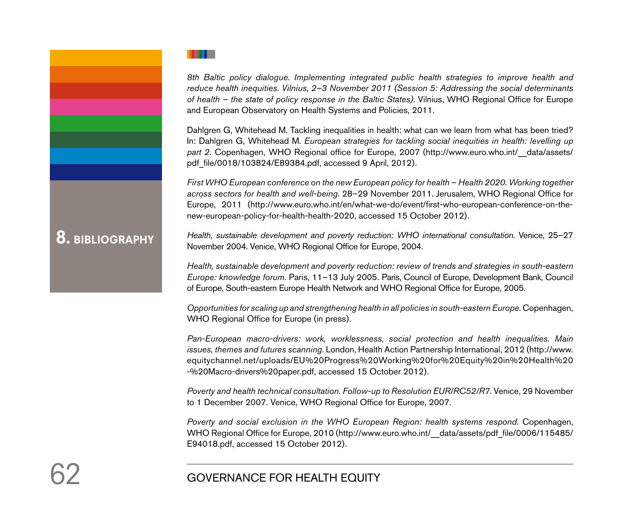*8th Baltic policy dialogue. Implementing integrated public health strategies to improve health and reduce health inequities. Vilnius, 2–3 November 2011 (Session 5: Addressing the social determinants of health – the state of policy response in the Baltic States)*. Vilnius, WHO Regional Office for Europe and European Observatory on Health Systems and Policies, 2011.

Dahlgren G, Whitehead M. Tackling inequalities in health: what can we learn from what has been tried? In: Dahlgren G, Whitehead M. *European strategies for tackling social inequities in health: levelling up part 2*. Copenhagen, WHO Regional office for Europe, 2007 [\(http://www.euro.who.int/\\_\\_data/assets/](http://www.euro.who.int/__data/assets/pdf_file/0018/103824/E89384.pdf) [pdf\\_file/0018/103824/E89384.pdf](http://www.euro.who.int/__data/assets/pdf_file/0018/103824/E89384.pdf), accessed 9 April, 2012).

*First WHO European conference on the new European policy for health – Health 2020. Working together across sectors for health and well-being*. 28–29 November 2011. Jerusalem, WHO Regional Office for Europe, 2011 ([http://www.euro.who.int/en/what-we-do/event/first-who-european-conference-on-the](http://www.euro.who.int/en/what-we-do/event/first-who-european-conference-on-the-new-european-policy-for-health-health-2020)[new-european-policy-for-health-health-2020](http://www.euro.who.int/en/what-we-do/event/first-who-european-conference-on-the-new-european-policy-for-health-health-2020), accessed 15 October 2012).

## 8. BIBLIOGRAPHY

. .

*Health, sustainable development and poverty reduction: WHO international consultation*. Venice, 25–27 November 2004. Venice, WHO Regional Office for Europe, 2004.

*Health, sustainable development and poverty reduction: review of trends and strategies in south-eastern Europe: knowledge forum*. Paris, 11–13 July 2005. Paris, Council of Europe, Development Bank, Council of Europe, South-eastern Europe Health Network and WHO Regional Office for Europe, 2005.

*Opportunities for scaling up and strengthening health in all policies in south-eastern Europe*. Copenhagen, WHO Regional Office for Europe (in press).

*Pan-European macro-drivers: work, worklessness, social protection and health inequalities. Main issues, themes and futures scanning*. London, Health Action Partnership International, 2012 [\(http://www.](http://www.equitychannel.net/uploads/EU%20Progress%20Working%20for%20Equity%20in%20Health%20-%20Macro-drivers%20paper.pdf) [equitychannel.net/uploads/EU%20Progress%20Working%20for%20Equity%20in%20Health%20](http://www.equitychannel.net/uploads/EU%20Progress%20Working%20for%20Equity%20in%20Health%20-%20Macro-drivers%20paper.pdf) [-%20Macro-drivers%20paper.pdf](http://www.equitychannel.net/uploads/EU%20Progress%20Working%20for%20Equity%20in%20Health%20-%20Macro-drivers%20paper.pdf), accessed 15 October 2012).

*Poverty and health technical consultation. Follow-up to Resolution EUR/RC52/R7*. Venice, 29 November to 1 December 2007. Venice, WHO Regional Office for Europe, 2007.

*Poverty and social exclusion in the WHO European Region: health systems respond*. Copenhagen, WHO Regional Office for Europe, 2010 [\(http://www.euro.who.int/\\_\\_data/assets/pdf\\_file/0006/115485/](http://www.euro.who.int/__data/assets/pdf_file/0006/115485/E94018.pdf) [E94018.pdf](http://www.euro.who.int/__data/assets/pdf_file/0006/115485/E94018.pdf), accessed 15 October 2012).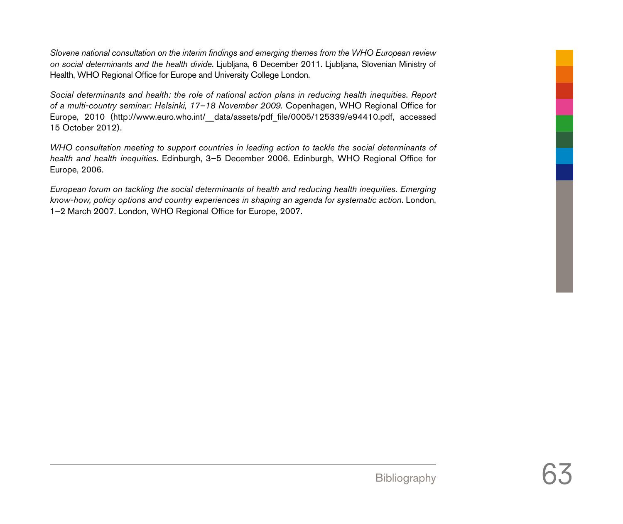*Slovene national consultation on the interim findings and emerging themes from the WHO European review on social determinants and the health divide*. Ljubljana, 6 December 2011. Ljubljana, Slovenian Ministry of Health, WHO Regional Office for Europe and University College London.

*Social determinants and health: the role of national action plans in reducing health inequities*. *Report of a multi-country seminar: Helsinki, 17–18 November 2009.* Copenhagen, WHO Regional Office for Europe, 2010 ([http://www.euro.who.int/\\_\\_data/assets/pdf\\_file/0005/125339/e94410.pdf](http://www.euro.who.int/__data/assets/pdf_file/0005/125339/e94410.pdf), accessed 15 October 2012).

*WHO consultation meeting to support countries in leading action to tackle the social determinants of health and health inequities*. Edinburgh, 3–5 December 2006. Edinburgh, WHO Regional Office for Europe, 2006.

*European forum on tackling the social determinants of health and reducing health inequities. Emerging know-how, policy options and country experiences in shaping an agenda for systematic action*. London, 1–2 March 2007. London, WHO Regional Office for Europe, 2007.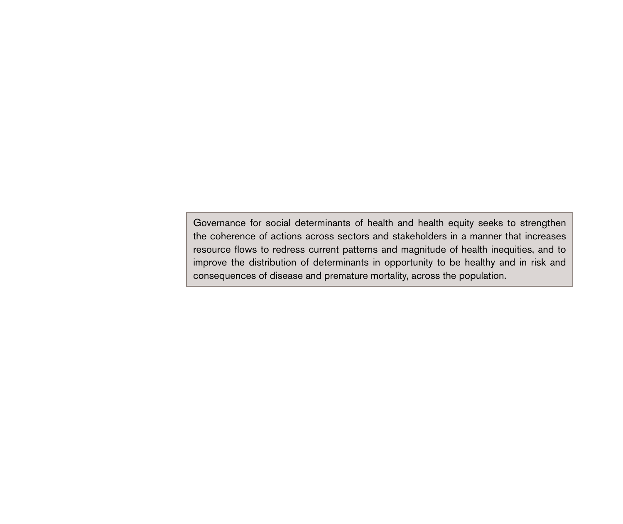Governance for social determinants of health and health equity seeks to strengthen the coherence of actions across sectors and stakeholders in a manner that increases resource flows to redress current patterns and magnitude of health inequities, and to improve the distribution of determinants in opportunity to be healthy and in risk and consequences of disease and premature mortality, across the population.